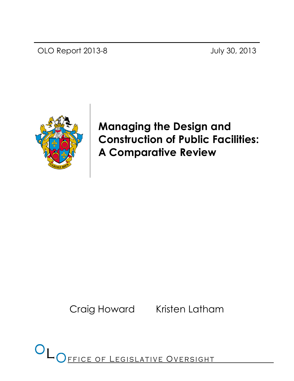OLO Report 2013-8 July 30, 2013



Managing the Design and Construction of Public Facilities: A Comparative Review

Craig Howard Kristen Latham

OL OFFICE OF LEGISLATIVE OVERSIGHT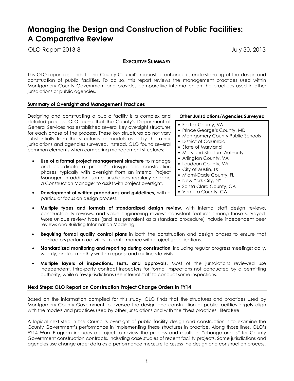# Managing the Design and Construction of Public Facilities: A Comparative Review

OLO Report 2013-8 July 30, 2013

#### EXECUTIVE SUMMARY

This OLO report responds to the County Council's request to enhance its understanding of the design and construction of public facilities. To do so, this report reviews the management practices used within Montgomery County Government and provides comparative information on the practices used in other jurisdictions or public agencies.

#### Summary of Oversight and Management Practices

Designing and constructing a public facility is a complex and detailed process. OLO found that the County's Department of General Services has established several key oversight structures for each phase of the process. These key structures do not vary substantially from the structures or models used by the other jurisdictions and agencies surveyed. Instead, OLO found several common elements when comparing management structures:

- Use of a formal project management structure to manage and coordinate a project's design and construction phases, typically with oversight from an internal Project Manager. In addition, some jurisdictions regularly engage a Construction Manager to assist with project oversight.
- Development of written procedures and guidelines, with a particular focus on design process.

#### Other Jurisdictions/Agencies Surveyed

- Fairfax County, VA
- Prince George's County, MD
- Montgomery County Public Schools
- District of Columbia
- State of Maryland
- Maryland Stadium Authority
- Arlington County, VA
- Loudoun County, VA
- City of Austin, TX
- Miami-Dade County, FL
- New York City, NY
- Santa Clara County, CA
- Ventura County, CA
- Multiple types and formats of standardized design review, with internal staff design reviews, constructability reviews, and value engineering reviews consistent features among those surveyed. More unique review types (and less prevalent as a standard procedure) include independent peer reviews and Building Information Modeling.
- **Requiring formal quality control plans** in both the construction and design phases to ensure that contractors perform activities in conformance with project specifications.
- Standardized monitoring and reporting during construction, including regular progress meetings; daily, weekly, and/or monthly written reports; and routine site-visits.
- **Multiple layers of inspections, tests, and approvals.** Most of the jurisdictions reviewed use independent, third-party contract inspectors for formal inspections not conducted by a permitting authority, while a few jurisdictions use internal staff to conduct some inspections.

#### Next Steps: OLO Report on Construction Project Change Orders in FY14

Based on the information compiled for this study, OLO finds that the structures and practices used by Montgomery County Government to oversee the design and construction of public facilities largely align with the models and practices used by other jurisdictions and with the "best practices" literature.

A logical next step in the Council's oversight of public facility design and construction is to examine the County Government's performance in implementing these structures in practice. Along those lines, OLO's FY14 Work Program includes a project to review the process and results of "change orders" for County Government construction contracts, including case studies of recent facility projects. Some jurisdictions and agencies use change order data as a performance measure to assess the design and construction process.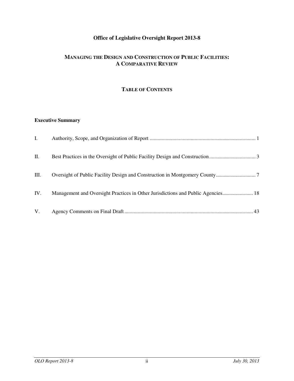### **Office of Legislative Oversight Report 2013-8**

### **MANAGING THE DESIGN AND CONSTRUCTION OF PUBLIC FACILITIES: A COMPARATIVE REVIEW**

### **TABLE OF CONTENTS**

### **Executive Summary**

| $\mathbf{I}$ . |                                                                                  |
|----------------|----------------------------------------------------------------------------------|
| II.            |                                                                                  |
| Ш.             |                                                                                  |
| IV.            | Management and Oversight Practices in Other Jurisdictions and Public Agencies 18 |
| V.             |                                                                                  |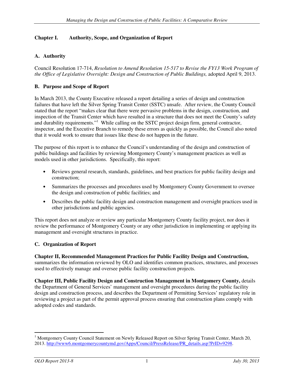### **Chapter I. Authority, Scope, and Organization of Report**

### **A. Authority**

Council Resolution 17-714, *Resolution to Amend Resolution 15-517 to Revise the FY13 Work Program of the Office of Legislative Oversight: Design and Construction of Public Buildings, adopted April 9, 2013.* 

#### **B. Purpose and Scope of Report**

In March 2013, the County Executive released a report detailing a series of design and construction failures that have left the Silver Spring Transit Center (SSTC) unsafe. After review, the County Council stated that the report "makes clear that there were pervasive problems in the design, construction, and inspection of the Transit Center which have resulted in a structure that does not meet the County's safety and durability requirements."<sup>1</sup> While calling on the SSTC project design firm, general contractor, inspector, and the Executive Branch to remedy these errors as quickly as possible, the Council also noted that it would work to ensure that issues like these do not happen in the future.

The purpose of this report is to enhance the Council's understanding of the design and construction of public buildings and facilities by reviewing Montgomery County's management practices as well as models used in other jurisdictions. Specifically, this report:

- Reviews general research, standards, guidelines, and best practices for public facility design and construction;
- Summarizes the processes and procedures used by Montgomery County Government to oversee the design and construction of public facilities; and
- Describes the public facility design and construction management and oversight practices used in other jurisdictions and public agencies.

This report does not analyze or review any particular Montgomery County facility project, nor does it review the performance of Montgomery County or any other jurisdiction in implementing or applying its management and oversight structures in practice.

#### **C. Organization of Report**

**Chapter II, Recommended Management Practices for Public Facility Design and Construction,**  summarizes the information reviewed by OLO and identifies common practices, structures, and processes used to effectively manage and oversee public facility construction projects.

**Chapter III, Public Facility Design and Construction Management in Montgomery County,** details the Department of General Services' management and oversight procedures during the public facility design and construction process, and describes the Department of Permitting Services' regulatory role in reviewing a project as part of the permit approval process ensuring that construction plans comply with adopted codes and standards.

<sup>&</sup>lt;sup>1</sup> Montgomery County Council Statement on Newly Released Report on Silver Spring Transit Center, March 20, 2013. http://www6.montgomerycountymd.gov/Apps/Council/PressRelease/PR\_details.asp?PrID=9298.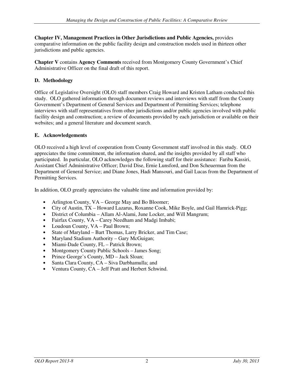**Chapter IV, Management Practices in Other Jurisdictions and Public Agencies,** provides comparative information on the public facility design and construction models used in thirteen other jurisdictions and public agencies.

**Chapter V** contains **Agency Comments** received from Montgomery County Government's Chief Administrative Officer on the final draft of this report.

# **D. Methodology**

Office of Legislative Oversight (OLO) staff members Craig Howard and Kristen Latham conducted this study. OLO gathered information through document reviews and interviews with staff from the County Government's Department of General Services and Department of Permitting Services; telephone interviews with staff representatives from other jurisdictions and/or public agencies involved with public facility design and construction; a review of documents provided by each jurisdiction or available on their websites; and a general literature and document search.

### **E. Acknowledgements**

OLO received a high level of cooperation from County Government staff involved in this study. OLO appreciates the time commitment, the information shared, and the insights provided by all staff who participated. In particular, OLO acknowledges the following staff for their assistance: Fariba Kassiri, Assistant Chief Administrative Officer; David Dise, Ernie Lunsford, and Don Scheuerman from the Department of General Service; and Diane Jones, Hadi Mansouri, and Gail Lucas from the Department of Permitting Services.

In addition, OLO greatly appreciates the valuable time and information provided by:

- Arlington County, VA George May and Bo Bloomer;
- City of Austin, TX Howard Lazarus, Roxanne Cook, Mike Boyle, and Gail Hamrick-Pigg;
- District of Columbia Allam Al-Alami, June Locker, and Will Mangrum;
- Fairfax County, VA Carey Needham and Madgi Imbabi;
- Loudoun County,  $VA$  Paul Brown;
- State of Maryland Bart Thomas, Larry Bricker, and Tim Case;
- Maryland Stadium Authority Gary McGuigan;
- Miami-Dade County, FL Patrick Brown;
- Montgomery County Public Schools James Song;
- Prince George's County, MD Jack Sloan;
- Santa Clara County, CA Siva Darbhamulla; and
- Ventura County, CA Jeff Pratt and Herbert Schwind.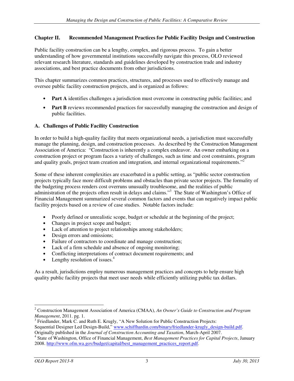### **Chapter II. Recommended Management Practices for Public Facility Design and Construction**

Public facility construction can be a lengthy, complex, and rigorous process. To gain a better understanding of how governmental institutions successfully navigate this process, OLO reviewed relevant research literature, standards and guidelines developed by construction trade and industry associations, and best practice documents from other jurisdictions.

This chapter summarizes common practices, structures, and processes used to effectively manage and oversee public facility construction projects, and is organized as follows:

- **Part A** identifies challenges a jurisdiction must overcome in constructing public facilities; and
- **Part B** reviews recommended practices for successfully managing the construction and design of public facilities.

#### **A. Challenges of Public Facility Construction**

In order to build a high-quality facility that meets organizational needs, a jurisdiction must successfully manage the planning, design, and construction processes. As described by the Construction Management Association of America: "Construction is inherently a complex endeavor. An owner embarking on a construction project or program faces a variety of challenges, such as time and cost constraints, program and quality goals, project team creation and integration, and internal organizational requirements."<sup>2</sup>

Some of these inherent complexities are exacerbated in a public setting, as "public sector construction projects typically face more difficult problems and obstacles than private sector projects. The formality of the budgeting process renders cost overruns unusually troublesome, and the realities of public administration of the projects often result in delays and claims."<sup>3</sup> The State of Washington's Office of Financial Management summarized several common factors and events that can negatively impact public facility projects based on a review of case studies. Notable factors include:

- Poorly defined or unrealistic scope, budget or schedule at the beginning of the project;
- Changes in project scope and budget;
- Lack of attention to project relationships among stakeholders;
- Design errors and omissions;
- Failure of contractors to coordinate and manage construction:
- Lack of a firm schedule and absence of ongoing monitoring;
- Conflicting interpretations of contract document requirements; and
- Lengthy resolution of issues. $4$

As a result, jurisdictions employ numerous management practices and concepts to help ensure high quality public facility projects that meet user needs while efficiently utilizing public tax dollars.

 $\overline{a}$ 

<sup>2</sup> Construction Management Association of America (CMAA), *An Owner's Guide to Construction and Program Management*, 2011. pg. 1.

 $3$  Friedlander, Mark C. and Ruth E. Krugly, "A New Solution for Public Construction Projects: Sequential Designer Led Design-Build," www.schiffhardin.com/binary/friedlander-krugly\_design-build.pdf.

Originally published in the *Journal of Construction Accounting and Taxation*, March-April 2007.

<sup>4</sup> State of Washington, Office of Financial Management, *Best Management Practices for Capital Projects*, January 2008. http://www.ofm.wa.gov/budget/capital/best\_management\_practices\_report.pdf.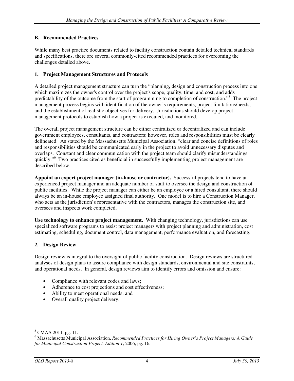### **B. Recommended Practices**

While many best practice documents related to facility construction contain detailed technical standards and specifications, there are several commonly-cited recommended practices for overcoming the challenges detailed above.

### **1. Project Management Structures and Protocols**

A detailed project management structure can turn the "planning, design and construction process into one which maximizes the owner's control over the project's scope, quality, time, and cost, and adds predictability of the outcome from the start of programming to completion of construction."<sup>5</sup> The project management process begins with identification of the owner's requirements, project limitations/needs, and the establishment of realistic objectives for delivery. Jurisdictions should develop project management protocols to establish how a project is executed, and monitored.

The overall project management structure can be either centralized or decentralized and can include government employees, consultants, and contractors; however, roles and responsibilities must be clearly delineated. As stated by the Massachusetts Municipal Association, "clear and concise definitions of roles and responsibilities should be communicated early in the project to avoid unnecessary disputes and overlaps. Constant and clear communication with the project team should clarify misunderstandings quickly."<sup>6</sup> Two practices cited as beneficial in successfully implementing project management are described below.

**Appoint an expert project manager (in-house or contractor).** Successful projects tend to have an experienced project manager and an adequate number of staff to oversee the design and construction of public facilities. While the project manager can either be an employee or a hired consultant, there should always be an in-house employee assigned final authority. One model is to hire a Construction Manager, who acts as the jurisdiction's representative with the contractors, manages the construction site, and oversees and inspects work completed.

**Use technology to enhance project management.** With changing technology, jurisdictions can use specialized software programs to assist project managers with project planning and administration, cost estimating, scheduling, document control, data management, performance evaluation, and forecasting.

#### **2. Design Review**

Design review is integral to the oversight of public facility construction. Design reviews are structured analyses of design plans to assure compliance with design standards, environmental and site constraints, and operational needs. In general, design reviews aim to identify errors and omission and ensure:

- Compliance with relevant codes and laws;
- Adherence to cost projections and cost effectiveness;
- Ability to meet operational needs; and
- Overall quality project delivery.

 $\overline{a}$ 

<sup>&</sup>lt;sup>5</sup> CMAA 2011, pg. 11.

<sup>6</sup> Massachusetts Municipal Association, *Recommended Practices for Hiring Owner's Project Managers: A Guide for Municipal Construction Project, Edition 1*, 2006, pg. 16.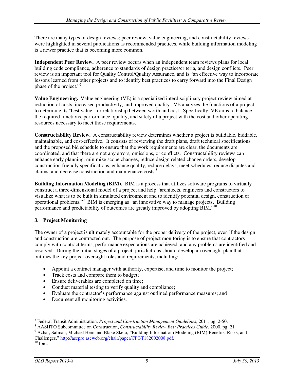There are many types of design reviews; peer review, value engineering, and constructability reviews were highlighted in several publications as recommended practices, while building information modeling is a newer practice that is becoming more common.

**Independent Peer Review.** A peer review occurs when an independent team reviews plans for local building code compliance, adherence to standards of design practice/criteria, and design conflicts. Peer review is an important tool for Quality Control/Quality Assurance, and is "an effective way to incorporate lessons learned from other projects and to identify best practices to carry forward into the Final Design phase of the project."<sup>7</sup>

**Value Engineering.** Value engineering (VE) is a specialized interdisciplinary project review aimed at reduction of costs, increased productivity, and improved quality. VE analyzes the functions of a project to determine its "best value," or relationship between worth and cost. Specifically, VE aims to balance the required functions, performance, quality, and safety of a project with the cost and other operating resources necessary to meet those requirements.

**Constructability Review.** A constructability review determines whether a project is buildable, biddable, maintainable, and cost-effective. It consists of reviewing the draft plans, draft technical specifications and the proposed bid schedule to ensure that the work requirements are clear, the documents are coordinated, and that there are not any errors, omissions, or conflicts. Constructability reviews can enhance early planning, minimize scope changes, reduce design related change orders, develop construction friendly specifications, enhance quality, reduce delays, meet schedules, reduce disputes and claims, and decrease construction and maintenance costs.<sup>8</sup>

**Building Information Modeling (BIM).** BIM is a process that utilizes software programs to virtually construct a three-dimensional model of a project and help "architects, engineers and constructors to visualize what is to be built in simulated environment and to identify potential design, construction or operational problems."<sup>9</sup> BIM is emerging as "an innovative way to manage projects. Building performance and predictability of outcomes are greatly improved by adopting BIM."<sup>10</sup>

### **3. Project Monitoring**

The owner of a project is ultimately accountable for the proper delivery of the project, even if the design and construction are contracted out. The purpose of project monitoring is to ensure that contractors comply with contract terms, performance expectations are achieved, and any problems are identified and resolved. During the initial stages of a project, jurisdictions should develop an oversight plan that outlines the key project oversight roles and requirements, including:

- Appoint a contract manager with authority, expertise, and time to monitor the project;
- Track costs and compare them to budget;
- Ensure deliverables are completed on time;
- Conduct material testing to verify quality and compliance;
- Evaluate the contractor's performance against outlined performance measures; and
- Document all monitoring activities.

 $\overline{a}$ 7 Federal Transit Administration, *Project and Construction Management Guidelines*, 2011, pg. 2-50.

<sup>8</sup> AASHTO Subcommittee on Construction, *Constructability Review Best Practices Guide*, 2000, pg. 21.

<sup>&</sup>lt;sup>9</sup> Azhar, Salman, Michael Hein and Blake Sketo, "Building Informatiom Modeling (BIM):Benefits, Risks, and Challenges," http://ascpro.ascweb.org/chair/paper/CPGT182002008.pdf.  $10$  Ibid.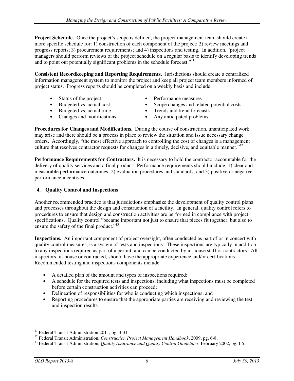**Project Schedule.** Once the project's scope is defined, the project management team should create a more specific schedule for: 1) construction of each component of the project; 2) review meetings and progress reports; 3) procurement requirements; and 4) inspections and testing. In addition, "project managers should perform reviews of the project schedule on a regular basis to identify developing trends and to point out potentially significant problems in the schedule forecast." $11$ 

**Consistent Recordkeeping and Reporting Requirements.** Jurisdictions should create a centralized information management system to monitor the project and keep all project team members informed of project status. Progress reports should be completed on a weekly basis and include:

- Status of the project
- Budgeted vs. actual cost
- Budgeted vs. actual time
- Changes and modifications
- Performance measures
- Scope changes and related potential costs
- Trends and trend forecasts
- Any anticipated problems

**Procedures for Changes and Modifications.** During the course of construction, unanticipated work may arise and there should be a process in place to review the situation and issue necessary change orders. Accordingly, "the most effective approach to controlling the cost of changes is a management culture that resolves contractor requests for changes in a timely, decisive, and equitable manner."<sup>12</sup>

**Performance Requirements for Contractors.** It is necessary to hold the contractor accountable for the delivery of quality services and a final product. Performance requirements should include: 1) clear and measurable performance outcomes; 2) evaluation procedures and standards; and 3) positive or negative performance incentives.

#### **4. Quality Control and Inspections**

Another recommended practice is that jurisdictions emphasize the development of quality control plans and processes throughout the design and construction of a facility. In general, quality control refers to procedures to ensure that design and construction activities are performed in compliance with project specifications. Quality control "became important not just to ensure that pieces fit together, but also to ensure the safety of the final product."<sup>13</sup>

**Inspections.** An important component of project oversight, often conducted as part of or in concert with quality control measures, is a system of tests and inspections. These inspections are typically in addition to any inspections required as part of a permit, and can be conducted by in-house staff or contractors. All inspectors, in-house or contracted, should have the appropriate experience and/or certifications. Recommended testing and inspections components include:

- A detailed plan of the amount and types of inspections required;
- A schedule for the required tests and inspections, including what inspections must be completed before certain construction activities can proceed;
- Delineation of responsibilities for who is conducting which inspections; and
- Reporting procedures to ensure that the appropriate parties are receiving and reviewing the test and inspection results.

 $\overline{a}$ <sup>11</sup> Federal Transit Administration 2011, pg. 3-31.

<sup>&</sup>lt;sup>12</sup> Federal Transit Administration, *Construction Project Management Handbook*, 2009, pg. 6-8.

<sup>13</sup> Federal Transit Administration, *Quality Assurance and Quality Control Guidelines*, February 2002, pg. I-5.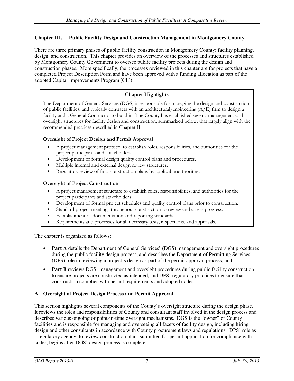### **Chapter III. Public Facility Design and Construction Management in Montgomery County**

There are three primary phases of public facility construction in Montgomery County: facility planning, design, and construction. This chapter provides an overview of the processes and structures established by Montgomery County Government to oversee public facility projects during the design and construction phases. More specifically, the processes reviewed in this chapter are for projects that have a completed Project Description Form and have been approved with a funding allocation as part of the adopted Capital Improvements Program (CIP).

# Chapter Highlights

The Department of General Services (DGS) is responsible for managing the design and construction of public facilities, and typically contracts with an architectural/engineering  $(A/E)$  firm to design a facility and a General Contractor to build it. The County has established several management and oversight structures for facility design and construction, summarized below, that largely align with the recommended practices described in Chapter II.

### Oversight of Project Design and Permit Approval

- A project management protocol to establish roles, responsibilities, and authorities for the project participants and stakeholders.
- Development of formal design quality control plans and procedures.
- Multiple internal and external design review structures.
- Regulatory review of final construction plans by applicable authorities.

### Oversight of Project Construction

- A project management structure to establish roles, responsibilities, and authorities for the project participants and stakeholders.
- Development of formal project schedules and quality control plans prior to construction.
- Standard project meetings throughout construction to review and assess progress.
- Establishment of documentation and reporting standards.
- Requirements and processes for all necessary tests, inspections, and approvals.

The chapter is organized as follows:

- **Part A** details the Department of General Services' (DGS) management and oversight procedures during the public facility design process, and describes the Department of Permitting Services' (DPS) role in reviewing a project's design as part of the permit approval process; and
- **Part B** reviews DGS' management and oversight procedures during public facility construction to ensure projects are constructed as intended, and DPS' regulatory practices to ensure that construction complies with permit requirements and adopted codes.

# **A. Oversight of Project Design Process and Permit Approval**

This section highlights several components of the County's oversight structure during the design phase. It reviews the roles and responsibilities of County and consultant staff involved in the design process and describes various ongoing or point-in-time oversight mechanisms. DGS is the "owner" of County facilities and is responsible for managing and overseeing all facets of facility design, including hiring design and other consultants in accordance with County procurement laws and regulations. DPS' role as a regulatory agency, to review construction plans submitted for permit application for compliance with codes, begins after DGS' design process is complete.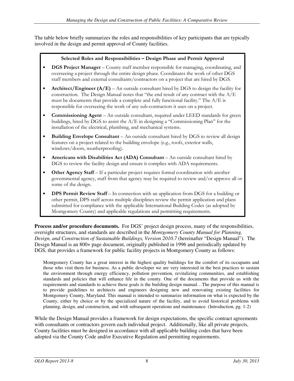The table below briefly summarizes the roles and responsibilities of key participants that are typically involved in the design and permit approval of County facilities.

### Selected Roles and Responsibilities – Design Phase and Permit Approval

- DGS Project Manager County staff member responsible for managing, coordinating, and overseeing a project through the entire design phase. Coordinates the work of other DGS staff members and external consultants/contractors on a project that are hired by DGS.
- Architect/Engineer  $(A/E)$  An outside consultant hired by DGS to design the facility for construction. The Design Manual notes that "the end result of any contract with the  $A/E$ must be documents that provide a complete and fully functional facility." The A/E is responsible for overseeing the work of any sub-contractors it uses on a project.
- Commissioning Agent An outside consultant, required under LEED standards for green buildings, hired by DGS to assist the A/E in designing a "Commissioning Plan" for the installation of the electrical, plumbing, and mechanical systems.
- Building Envelope Consultant An outside consultant hired by DGS to review all design features on a project related to the building envelope (e.g., roofs, exterior walls, windows/doors, weatherproofing).
- Americans with Disabilities Act (ADA) Consultant An outside consultant hired by DGS to review the facility design and ensure it complies with ADA requirements.
- Other Agency Staff If a particular project requires formal coordination with another governmental agency, staff from that agency may be required to review and/or approve all or some of the design.
- DPS Permit Review Staff In connection with an application from DGS for a building or other permit, DPS staff across multiple disciplines review the permit application and plans submitted for compliance with the applicable International Building Codes (as adopted by Montgomery County) and applicable regulations and permitting requirements.

**Process and/or procedure documents.** For DGS' project design process, many of the responsibilities, oversight structures, and standards are described in the *Montgomery County Manual for Planning, Design, and Construction of Sustainable Buildings, Version 2010.7* (hereinafter "Design Manual").The Design Manual is an 800+ page document, originally published in 1996 and periodically updated by DGS, that provides a framework for public facility projects in Montgomery County as follows:

Montgomery County has a great interest in the highest quality buildings for the comfort of its occupants and those who visit them for business. As a public developer we are very interested in the best practices to sustain the environment through energy efficiency, pollution prevention, revitalizing communities, and establishing standards and policies that will enhance life in the county. One of the documents that provide us with the requirements and standards to achieve these goals is the building design manual…The purpose of this manual is to provide guidelines to architects and engineers designing new and renovating existing facilities for Montgomery County, Maryland. This manual is intended to summarize information on what is expected by the County, either by choice or by the specialized nature of the facility, and to avoid historical problems with planning, design, and construction, and with subsequent operations and maintenance. (Introduction, pg. 1-2)

While the Design Manual provides a framework for design expectations, the specific contract agreements with consultants or contractors govern each individual project. Additionally, like all private projects, County facilities must be designed in accordance with all applicable building codes that have been adopted via the County Code and/or Executive Regulation and permitting requirements.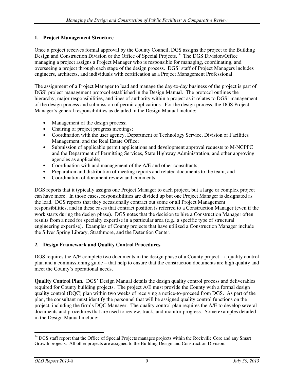### **1. Project Management Structure**

Once a project receives formal approval by the County Council, DGS assigns the project to the Building Design and Construction Division or the Office of Special Projects.<sup>14</sup> The DGS Division/Office managing a project assigns a Project Manager who is responsible for managing, coordinating, and overseeing a project through each stage of the design process. DGS' staff of Project Managers includes engineers, architects, and individuals with certification as a Project Management Professional.

The assignment of a Project Manager to lead and manage the day-to-day business of the project is part of DGS' project management protocol established in the Design Manual. The protocol outlines the hierarchy, major responsibilities, and lines of authority within a project as it relates to DGS' management of the design process and submission of permit applications. For the design process, the DGS Project Manager's general responsibilities as detailed in the Design Manual include:

- Management of the design process;
- Chairing of project progress meetings;
- Coordination with the user agency, Department of Technology Service, Division of Facilities Management, and the Real Estate Office;
- Submission of applicable permit applications and development approval requests to M-NCPPC and the Department of Permitting Services, State Highway Administration, and other approving agencies as applicable;
- Coordination with and management of the A/E and other consultants;
- Preparation and distribution of meeting reports and related documents to the team; and
- Coordination of document review and comments.

DGS reports that it typically assigns one Project Manager to each project, but a large or complex project can have more. In those cases, responsibilities are divided up but one Project Manager is designated as the lead.DGS reports that they occasionally contract out some or all Project Management responsibilities, and in these cases that contract position is referred to a Construction Manager (even if the work starts during the design phase). DGS notes that the decision to hire a Construction Manager often results from a need for specialty expertise in a particular area (e.g., a specific type of structural engineering expertise). Examples of County projects that have utilized a Construction Manager include the Silver Spring Library, Strathmore, and the Detention Center.

# **2. Design Framework and Quality Control Procedures**

DGS requires the A/E complete two documents in the design phase of a County project – a quality control plan and a commissioning guide – that help to ensure that the construction documents are high quality and meet the County's operational needs.

**Quality Control Plan.** DGS' Design Manual details the design quality control process and deliverables required for County building projects. The project A/E must provide the County with a formal design quality control (DQC) plan within two weeks of receiving a notice-to-proceed from DGS. As part of the plan, the consultant must identify the personnel that will be assigned quality control functions on the project, including the firm's DQC Manager. The quality control plan requires the A/E to develop several documents and procedures that are used to review, track, and monitor progress. Some examples detailed in the Design Manual include:

 $\overline{a}$ <sup>14</sup> DGS staff report that the Office of Special Projects manages projects within the Rockville Core and any Smart Growth projects. All other projects are assigned to the Building Design and Construction Division.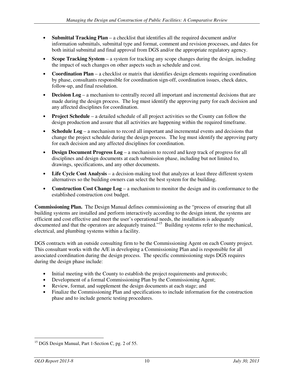- **Submittal Tracking Plan** a checklist that identifies all the required document and/or information submittals, submittal type and format, comment and revision processes, and dates for both initial submittal and final approval from DGS and/or the appropriate regulatory agency.
- **Scope Tracking System** a system for tracking any scope changes during the design, including the impact of such changes on other aspects such as schedule and cost.
- **Coordination Plan** a checklist or matrix that identifies design elements requiring coordination by phase, consultants responsible for coordination sign-off, coordination issues, check dates, follow-up, and final resolution.
- **Decision Log** a mechanism to centrally record all important and incremental decisions that are made during the design process. The log must identify the approving party for each decision and any affected disciplines for coordination.
- **Project Schedule** a detailed schedule of all project activities so the County can follow the design production and assure that all activities are happening within the required timeframe.
- **Schedule Log** a mechanism to record all important and incremental events and decisions that change the project schedule during the design process. The log must identify the approving party for each decision and any affected disciplines for coordination.
- **Design Document Progress Log** a mechanism to record and keep track of progress for all disciplines and design documents at each submission phase, including but not limited to, drawings, specifications, and any other documents.
- Life Cycle Cost Analysis a decision-making tool that analyzes at least three different system alternatives so the building owners can select the best system for the building.
- **Construction Cost Change Log** a mechanism to monitor the design and its conformance to the established construction cost budget.

**Commissioning Plan.** The Design Manual defines commissioning as the "process of ensuring that all building systems are installed and perform interactively according to the design intent, the systems are efficient and cost effective and meet the user's operational needs, the installation is adequately documented and that the operators are adequately trained."<sup>15</sup> Building systems refer to the mechanical, electrical, and plumbing systems within a facility.

DGS contracts with an outside consulting firm to be the Commissioning Agent on each County project. This consultant works with the A/E in developing a Commissioning Plan and is responsible for all associated coordination during the design process. The specific commissioning steps DGS requires during the design phase include:

- Initial meeting with the County to establish the project requirements and protocols;
- Development of a formal Commissioning Plan by the Commissioning Agent;
- Review, format, and supplement the design documents at each stage; and
- Finalize the Commissioning Plan and specifications to include information for the construction phase and to include generic testing procedures.

 $\overline{a}$ <sup>15</sup> DGS Design Manual, Part 1-Section C, pg. 2 of 55.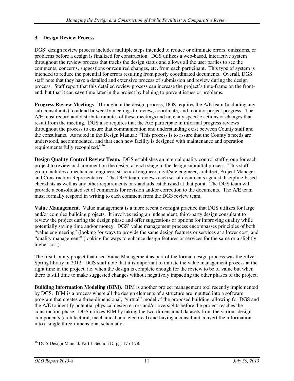### **3. Design Review Process**

DGS' design review process includes multiple steps intended to reduce or eliminate errors, omissions, or problems before a design is finalized for construction. DGS utilizes a web-based, interactive system throughout the review process that tracks the design status and allows all the user parties to see the comments, concerns, suggestions or required changes, etc. from each participant. This type of system is intended to reduce the potential for errors resulting from poorly coordinated documents. Overall, DGS staff note that they have a detailed and extensive process of submission and review during the design process. Staff report that this detailed review process can increase the project's time-frame on the frontend, but that it can save time later in the project by helping to prevent issues or problems.

**Progress Review Meetings**. Throughout the design process, DGS requires the A/E team (including any sub-consultants) to attend bi-weekly meetings to review, coordinate, and monitor project progress. The A/E must record and distribute minutes of these meetings and note any specific actions or changes that result from the meeting. DGS also requires that the A/E participate in informal progress reviews throughout the process to ensure that communication and understanding exist between County staff and the consultants. As noted in the Design Manual: "This process is to assure that the County's needs are understood, accommodated, and that each new facility is designed with maintenance and operation requirements fully recognized."<sup>16</sup>

**Design Quality Control Review Team.** DGS establishes an internal quality control staff group for each project to review and comment on the design at each stage in the design submittal process. This staff group includes a mechanical engineer, structural engineer, civil/site engineer, architect, Project Manager, and Construction Representative. The DGS team reviews each set of documents against discipline-based checklists as well as any other requirements or standards established at that point. The DGS team will provide a consolidated set of comments for revision and/or correction to the documents. The A/E team must formally respond in writing to each comment from the DGS review team.

**Value Management.** Value management is a more recent oversight practice that DGS utilizes for large and/or complex building projects. It involves using an independent, third-party design consultant to review the project during the design phase and offer suggestions or options for improving quality while potentially saving time and/or money. DGS' value management process encompasses principles of both "value engineering" (looking for ways to provide the same design features or services at a lower cost) and "quality management" (looking for ways to enhance design features or services for the same or a slightly higher cost).

The first County project that used Value Management as part of the formal design process was the Silver Spring library in 2012. DGS staff note that it is important to initiate the value management process at the right time in the project, i.e. when the design is complete enough for the review to be of value but when there is still time to make suggested changes without negatively impacting the other phases of the project.

**Building Information Modeling (BIM).** BIM is another project management tool recently implemented by DGS. BIM is a process where all the design elements of a structure are inputted into a software program that creates a three-dimensional, "virtual" model of the proposed building, allowing for DGS and the A/E to identify potential physical design errors and/or oversights before the project reaches the construction phase. DGS utilizes BIM by taking the two-dimensional datasets from the various design components (architectural, mechanical, and electrical) and having a consultant convert the information into a single three-dimensional schematic.

 $\overline{a}$ <sup>16</sup> DGS Design Manual, Part 1-Section D, pg. 17 of 78.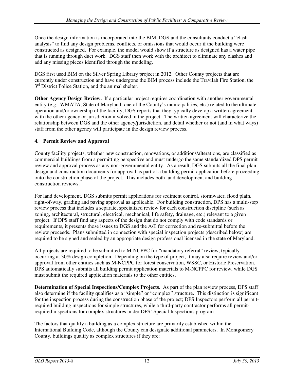Once the design information is incorporated into the BIM, DGS and the consultants conduct a "clash analysis" to find any design problems, conflicts, or omissions that would occur if the building were constructed as designed. For example, the model would show if a structure as designed has a water pipe that is running through duct work. DGS staff then work with the architect to eliminate any clashes and add any missing pieces identified through the modeling.

DGS first used BIM on the Silver Spring Library project in 2012. Other County projects that are currently under construction and have undergone the BIM process include the Travilah Fire Station, the 3<sup>rd</sup> District Police Station, and the animal shelter.

**Other Agency Design Review.** If a particular project requires coordination with another governmental entity (e.g., WMATA, State of Maryland, one of the County's municipalities, etc.) related to the ultimate operation and/or ownership of the facility, DGS reports that they typically develop a written agreement with the other agency or jurisdiction involved in the project. The written agreement will characterize the relationship between DGS and the other agency/jurisdiction, and detail whether or not (and in what ways) staff from the other agency will participate in the design review process.

# **4. Permit Review and Approval**

County facility projects, whether new construction, renovations, or additions/alterations, are classified as commercial buildings from a permitting perspective and must undergo the same standardized DPS permit review and approval process as any non-governmental entity. As a result, DGS submits all the final plan design and construction documents for approval as part of a building permit application before proceeding onto the construction phase of the project. This includes both land development and building construction reviews.

For land development, DGS submits permit applications for sediment control, stormwater, flood plain, right-of-way, grading and paving approval as applicable. For building construction, DPS has a multi-step review process that includes a separate, specialized review for each construction discipline (such as zoning, architectural, structural, electrical, mechanical, life safety, drainage, etc.) relevant to a given project. If DPS staff find any aspects of the design that do not comply with code standards or requirements, it presents those issues to DGS and the A/E for correction and re-submittal before the review proceeds. Plans submitted in connection with special inspection projects (described below) are required to be signed and sealed by an appropriate design professional licensed in the state of Maryland.

All projects are required to be submitted to M-NCPPC for "mandatory referral" review, typically occurring at 30% design completion. Depending on the type of project, it may also require review and/or approval from other entities such as M-NCPPC for forest conservation, WSSC, or Historic Preservation. DPS automatically submits all building permit application materials to M-NCPPC for review, while DGS must submit the required application materials to the other entities.

**Determination of Special Inspections/Complex Projects.** As part of the plan review process, DPS staff also determine if the facility qualifies as a "simple" or "complex" structure. This distinction is significant for the inspection process during the construction phase of the project; DPS Inspectors perform all permitrequired building inspections for simple structures, while a third-party contractor performs all permitrequired inspections for complex structures under DPS' Special Inspections program.

The factors that qualify a building as a complex structure are primarily established within the International Building Code, although the County can designate additional parameters. In Montgomery County, buildings qualify as complex structures if they are: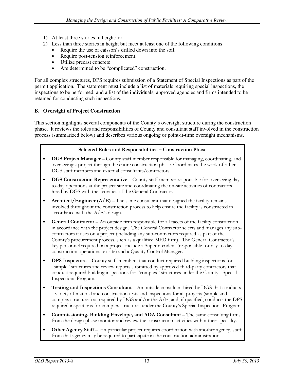- 1) At least three stories in height; or
- 2) Less than three stories in height but meet at least one of the following conditions:
	- Require the use of caisson's drilled down into the soil.
	- Require post-tension reinforcement.
	- Utilize precast concrete.
	- Are determined to be "complicated" construction.

For all complex structures, DPS requires submission of a Statement of Special Inspections as part of the permit application. The statement must include a list of materials requiring special inspections, the inspections to be performed, and a list of the individuals, approved agencies and firms intended to be retained for conducting such inspections.

#### **B. Oversight of Project Construction**

This section highlights several components of the County's oversight structure during the construction phase. It reviews the roles and responsibilities of County and consultant staff involved in the construction process (summarized below) and describes various ongoing or point-it-time oversight mechanisms.

#### Selected Roles and Responsibilities – Construction Phase

- DGS Project Manager County staff member responsible for managing, coordinating, and overseeing a project through the entire construction phase. Coordinates the work of other DGS staff members and external consultants/contractors.
- DGS Construction Representative County staff member responsible for overseeing dayto-day operations at the project site and coordinating the on-site activities of contractors hired by DGS with the activities of the General Contractor.
- Architect/Engineer  $(A/E)$  The same consultant that designed the facility remains involved throughout the construction process to help ensure the facility is constructed in accordance with the A/E's design.
- General Contractor An outside firm responsible for all facets of the facility construction in accordance with the project design. The General Contractor selects and manages any subcontractors it uses on a project (including any sub-contractors required as part of the County's procurement process, such as a qualified MFD firm). The General Contractor's key personnel required on a project include a Superintendent (responsible for day-to-day construction operations on-site) and a Quality Control Manager.
- DPS Inspectors County staff members that conduct required building inspections for "simple" structures and review reports submitted by approved third-party contractors that conduct required building inspections for "complex" structures under the County's Special Inspections Program.
- **Testing and Inspections Consultant**  $-$  An outside consultant hired by DGS that conducts a variety of material and construction tests and inspections for all projects (simple and complex structures) as required by DGS and/or the A/E, and, if qualified, conducts the DPS required inspections for complex structures under the County's Special Inspections Program.
- Commissioning, Building Envelope, and ADA Consultant The same consulting firms from the design phase monitor and review the construction activities within their specialty.
- Other Agency Staff If a particular project requires coordination with another agency, staff from that agency may be required to participate in the construction administration.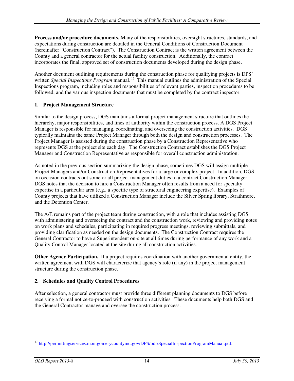**Process and/or procedure documents.** Many of the responsibilities, oversight structures, standards, and expectations during construction are detailed in the General Conditions of Construction Document (hereinafter "Construction Contract"). The Construction Contract is the written agreement between the County and a general contractor for the actual facility construction. Additionally, the contract incorporates the final, approved set of construction documents developed during the design phase.

Another document outlining requirements during the construction phase for qualifying projects is DPS' written *Special Inspections Program* manual.<sup>17</sup> This manual outlines the administration of the Special Inspections program, including roles and responsibilities of relevant parties, inspection procedures to be followed, and the various inspection documents that must be completed by the contract inspector.

# **1. Project Management Structure**

Similar to the design process, DGS maintains a formal project management structure that outlines the hierarchy, major responsibilities, and lines of authority within the construction process. A DGS Project Manager is responsible for managing, coordinating, and overseeing the construction activities. DGS typically maintains the same Project Manager through both the design and construction processes. The Project Manager is assisted during the construction phase by a Construction Representative who represents DGS at the project site each day. The Construction Contract establishes the DGS Project Manager and Construction Representative as responsible for overall construction administration.

As noted in the previous section summarizing the design phase, sometimes DGS will assign multiple Project Managers and/or Construction Representatives for a large or complex project. In addition, DGS on occasion contracts out some or all project management duties to a contract Construction Manager. DGS notes that the decision to hire a Construction Manager often results from a need for specialty expertise in a particular area (e.g., a specific type of structural engineering expertise). Examples of County projects that have utilized a Construction Manager include the Silver Spring library, Strathmore, and the Detention Center.

The A/E remains part of the project team during construction, with a role that includes assisting DGS with administering and overseeing the contract and the construction work, reviewing and providing notes on work plans and schedules, participating in required progress meetings, reviewing submittals, and providing clarification as needed on the design documents. The Construction Contract requires the General Contractor to have a Superintendent on-site at all times during performance of any work and a Quality Control Manager located at the site during all construction activities.

**Other Agency Participation.** If a project requires coordination with another governmental entity, the written agreement with DGS will characterize that agency's role (if any) in the project management structure during the construction phase.

# **2. Schedules and Quality Control Procedures**

After selection, a general contractor must provide three different planning documents to DGS before receiving a formal notice-to-proceed with construction activities. These documents help both DGS and the General Contractor manage and oversee the construction process.

 $\overline{a}$ <sup>17</sup> http://permittingservices.montgomerycountymd.gov/DPS/pdf/SpecialInspectionProgramManual.pdf.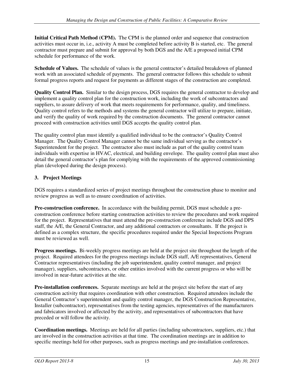**Initial Critical Path Method (CPM).** The CPM is the planned order and sequence that construction activities must occur in, i.e., activity A must be completed before activity B is started, etc. The general contractor must prepare and submit for approval by both DGS and the A/E a proposed initial CPM schedule for performance of the work.

**Schedule of Values.** The schedule of values is the general contractor's detailed breakdown of planned work with an associated schedule of payments. The general contractor follows this schedule to submit formal progress reports and request for payments as different stages of the construction are completed.

**Quality Control Plan.** Similar to the design process, DGS requires the general contractor to develop and implement a quality control plan for the construction work, including the work of subcontractors and suppliers, to assure delivery of work that meets requirements for performance, quality, and timeliness. Quality control refers to the methods and systems the general contractor will utilize to prepare, initiate, and verify the quality of work required by the construction documents. The general contractor cannot proceed with construction activities until DGS accepts the quality control plan.

The quality control plan must identify a qualified individual to be the contractor's Quality Control Manager. The Quality Control Manager cannot be the same individual serving as the contractor's Superintendent for the project. The contractor also must include as part of the quality control team individuals with expertise in HVAC, electrical, and building envelope. The quality control plan must also detail the general contractor's plan for complying with the requirements of the approved commissioning plan (developed during the design process).

# **3. Project Meetings**

DGS requires a standardized series of project meetings throughout the construction phase to monitor and review progress as well as to ensure coordination of activities.

**Pre-construction conference.** In accordance with the building permit, DGS must schedule a preconstruction conference before starting construction activities to review the procedures and work required for the project. Representatives that must attend the pre-construction conference include DGS and DPS staff, the A/E, the General Contractor, and any additional contractors or consultants. If the project is defined as a complex structure, the specific procedures required under the Special Inspections Program must be reviewed as well.

**Progress meetings.** Bi-weekly progress meetings are held at the project site throughout the length of the project. Required attendees for the progress meetings include DGS staff, A/E representatives, General Contractor representatives (including the job superintendent, quality control manager, and project manager), suppliers, subcontractors, or other entities involved with the current progress or who will be involved in near-future activities at the site.

**Pre-installation conferences.** Separate meetings are held at the project site before the start of any construction activity that requires coordination with other construction. Required attendees include the General Contractor's superintendent and quality control manager, the DGS Construction Representative, Installer (subcontractor), representatives from the testing agencies, representatives of the manufacturers and fabricators involved or affected by the activity, and representatives of subcontractors that have preceded or will follow the activity.

**Coordination meetings.** Meetings are held for all parties (including subcontractors, suppliers, etc.) that are involved in the construction activities at that time. The coordination meetings are in addition to specific meetings held for other purposes, such as progress meetings and pre-installation conferences.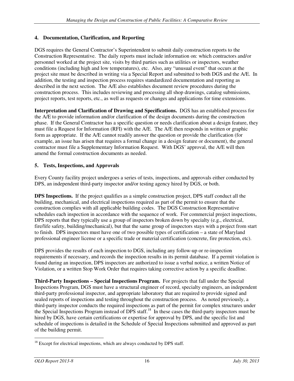### **4. Documentation, Clarification, and Reporting**

DGS requires the General Contractor's Superintendent to submit daily construction reports to the Construction Representative. The daily reports must include information on: which contractors and/or personnel worked at the project site, visits by third parties such as utilities or inspectors, weather conditions (including high and low temperatures), etc. Also, any "unusual event" that occurs at the project site must be described in writing via a Special Report and submitted to both DGS and the A/E. In addition, the testing and inspection process requires standardized documentation and reporting as described in the next section. The A/E also establishes document review procedures during the construction process. This includes reviewing and processing all shop drawings, catalog submissions, project reports, test reports, etc., as well as requests or changes and applications for time extensions.

**Interpretation and Clarification of Drawing and Specifications.** DGS has an established process for the A/E to provide information and/or clarification of the design documents during the construction phase. If the General Contractor has a specific question or needs clarification about a design feature, they must file a Request for Information (RFI) with the A/E. The A/E then responds in written or graphic form as appropriate. If the A/E cannot readily answer the question or provide the clarification (for example, an issue has arisen that requires a formal change in a design feature or document), the general contractor must file a Supplementary Information Request. With DGS' approval, the A/E will then amend the formal construction documents as needed.

#### **5. Tests, Inspections, and Approvals**

Every County facility project undergoes a series of tests, inspections, and approvals either conducted by DPS, an independent third-party inspector and/or testing agency hired by DGS, or both.

**DPS Inspections.** If the project qualifies as a simple construction project, DPS staff conduct all the building, mechanical, and electrical inspections required as part of the permit to ensure that the construction complies with all applicable building codes. The DGS Construction Representative schedules each inspection in accordance with the sequence of work. For commercial project inspections, DPS reports that they typically use a group of inspectors broken down by specialty (e.g., electrical, fire/life safety, building/mechanical), but that the same group of inspectors stays with a project from start to finish. DPS inspectors must have one of two possible types of certification – a state of Maryland professional engineer license or a specific trade or material certification (concrete, fire protection, etc).

DPS provides the results of each inspection to DGS, including any follow-up or re-inspection requirements if necessary, and records the inspection results in its permit database. If a permit violation is found during an inspection, DPS inspectors are authorized to issue a verbal notice, a written Notice of Violation, or a written Stop Work Order that requires taking corrective action by a specific deadline.

**Third-Party Inspections – Special Inspections Program.** For projects that fall under the Special Inspections Program, DGS must have a structural engineer of record, specialty engineers, an independent third-party professional inspector, and appropriate laboratory that are required to provide signed and sealed reports of inspections and testing throughout the construction process. As noted previously, a third-party inspector conducts the required inspections as part of the permit for complex structures under the Special Inspections Program instead of DPS staff.<sup>18</sup> In these cases the third-party inspectors must be hired by DGS, have certain certifications or expertise for approval by DPS, and the specific list and schedule of inspections is detailed in the Schedule of Special Inspections submitted and approved as part of the building permit.

 $\overline{a}$  $18$  Except for electrical inspections, which are always conducted by DPS staff.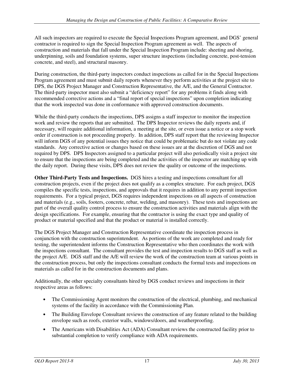All such inspectors are required to execute the Special Inspections Program agreement, and DGS' general contractor is required to sign the Special Inspection Program agreement as well. The aspects of construction and materials that fall under the Special Inspection Program include: sheeting and shoring, underpinning, soils and foundation systems, super structure inspections (including concrete, post-tension concrete, and steel), and structural masonry.

During construction, the third-party inspectors conduct inspections as called for in the Special Inspections Program agreement and must submit daily reports whenever they perform activities at the project site to DPS, the DGS Project Manager and Construction Representative, the A/E, and the General Contractor. The third-party inspector must also submit a "deficiency report" for any problems it finds along with recommended corrective actions and a "final report of special inspections" upon completion indicating that the work inspected was done in conformance with approved construction documents.

While the third-party conducts the inspections, DPS assigns a staff inspector to monitor the inspection work and review the reports that are submitted. The DPS Inspector reviews the daily reports and, if necessary, will require additional information, a meeting at the site, or even issue a notice or a stop work order if construction is not proceeding properly. In addition, DPS staff report that the reviewing Inspector will inform DGS of any potential issues they notice that could be problematic but do not violate any code standards. Any corrective action or changes based on these issues are at the discretion of DGS and not required by DPS. DPS Inspectors assigned to a particular project will also periodically visit a project site to ensure that the inspections are being completed and the activities of the inspector are matching up with the daily report. During these visits, DPS does not review the quality or outcome of the inspections.

**Other Third-Party Tests and Inspections.** DGS hires a testing and inspections consultant for all construction projects, even if the project does not qualify as a complex structure. For each project, DGS compiles the specific tests, inspections, and approvals that it requires in addition to any permit inspection requirements. For a typical project, DGS requires independent inspections on all aspects of construction and materials (e.g., soils, footers, concrete, rebar, welding, and masonry). These tests and inspections are part of the overall quality control process to ensure the construction activities and materials align with the design specifications. For example, ensuring that the contractor is using the exact type and quality of product or material specified and that the product or material is installed correctly.

The DGS Project Manager and Construction Representative coordinate the inspection process in conjunction with the construction superintendent. As portions of the work are completed and ready for testing, the superintendent informs the Construction Representative who then coordinates the work with the inspections consultant. The consultant provides the test and inspection results to DGS staff as well as the project A/E. DGS staff and the A/E will review the work of the construction team at various points in the construction process, but only the inspections consultant conducts the formal tests and inspections on materials as called for in the construction documents and plans.

Additionally, the other specialty consultants hired by DGS conduct reviews and inspections in their respective areas as follows:

- The Commissioning Agent monitors the construction of the electrical, plumbing, and mechanical systems of the facility in accordance with the Commissioning Plan.
- The Building Envelope Consultant reviews the construction of any feature related to the building envelope such as roofs, exterior walls, windows/doors, and weatherproofing.
- The Americans with Disabilities Act (ADA) Consultant reviews the constructed facility prior to substantial completion to verify compliance with ADA requirements.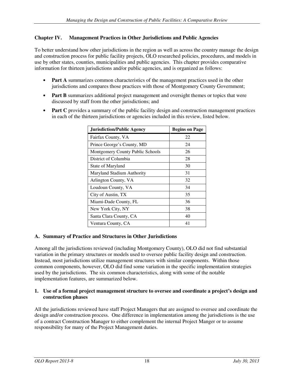### **Chapter IV. Management Practices in Other Jurisdictions and Public Agencies**

To better understand how other jurisdictions in the region as well as across the country manage the design and construction process for public facility projects, OLO researched policies, procedures, and models in use by other states, counties, municipalities and public agencies. This chapter provides comparative information for thirteen jurisdictions and/or public agencies, and is organized as follows:

- **Part A** summarizes common characteristics of the management practices used in the other jurisdictions and compares those practices with those of Montgomery County Government;
- **Part B** summarizes additional project management and oversight themes or topics that were discussed by staff from the other jurisdictions; and
- **Part C** provides a summary of the public facility design and construction management practices in each of the thirteen jurisdictions or agencies included in this review, listed below.

| <b>Jurisdiction/Public Agency</b> | <b>Begins on Page</b> |
|-----------------------------------|-----------------------|
| Fairfax County, VA                | 22                    |
| Prince George's County, MD        | 24                    |
| Montgomery County Public Schools  | 26                    |
| District of Columbia              | 28                    |
| State of Maryland                 | 30                    |
| Maryland Stadium Authority        | 31                    |
| Arlington County, VA              | 32                    |
| Loudoun County, VA                | 34                    |
| City of Austin, TX                | 35                    |
| Miami-Dade County, FL             | 36                    |
| New York City, NY                 | 38                    |
| Santa Clara County, CA            | 40                    |
| Ventura County, CA                | 41                    |

#### **A. Summary of Practice and Structures in Other Jurisdictions**

Among all the jurisdictions reviewed (including Montgomery County), OLO did not find substantial variation in the primary structures or models used to oversee public facility design and construction. Instead, most jurisdictions utilize management structures with similar components. Within those common components, however, OLO did find some variation in the specific implementation strategies used by the jurisdictions. The six common characteristics, along with some of the notable implementation features, are summarized below.

#### **1. Use of a formal project management structure to oversee and coordinate a project's design and construction phases**

All the jurisdictions reviewed have staff Project Managers that are assigned to oversee and coordinate the design and/or construction process.One difference in implementation among the jurisdictions is the use of a contract Construction Manager to either complement the internal Project Manger or to assume responsibility for many of the Project Management duties.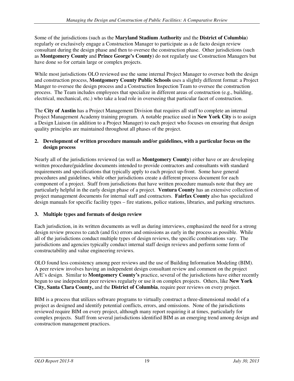Some of the jurisdictions (such as the **Maryland Stadium Authority** and the **District of Columbia**) regularly or exclusively engage a Construction Manager to participate as a de facto design review consultant during the design phase and then to oversee the construction phase. Other jurisdictions (such as **Montgomery County** and **Prince George's County**) do not regularly use Construction Managers but have done so for certain large or complex projects.

While most jurisdictions OLO reviewed use the same internal Project Manager to oversee both the design and construction process, **Montgomery County Public Schools** uses a slightly different format: a Project Manger to oversee the design process and a Construction Inspection Team to oversee the construction process. The Team includes employees that specialize in different areas of construction (e.g., building, electrical, mechanical, etc.) who take a lead role in overseeing that particular facet of construction.

The **City of Austin** has a Project Management Division that requires all staff to complete an internal Project Management Academy training program. A notable practice used in **New York City** is to assign a Design Liaison (in addition to a Project Manager) to each project who focuses on ensuring that design quality principles are maintained throughout all phases of the project.

#### **2. Development of written procedure manuals and/or guidelines, with a particular focus on the design process**

Nearly all of the jurisdictions reviewed (as well as **Montgomery County**) either have or are developing written procedure/guideline documents intended to provide contractors and consultants with standard requirements and specifications that typically apply to each project up-front. Some have general procedures and guidelines, while other jurisdictions create a different process document for each component of a project.Staff from jurisdictions that have written procedure manuals note that they are particularly helpful in the early design phase of a project. **Ventura County** has an extensive collection of project management documents for internal staff and contractors. **Fairfax County** also has specialized design manuals for specific facility types – fire stations, police stations, libraries, and parking structures.

### **3. Multiple types and formats of design review**

Each jurisdiction, in its written documents as well as during interviews, emphasized the need for a strong design review process to catch (and fix) errors and omissions as early in the process as possible. While all of the jurisdictions conduct multiple types of design reviews, the specific combinations vary. The jurisdictions and agencies typically conduct internal staff design reviews and perform some form of constructability and value engineering reviews.

OLO found less consistency among peer reviews and the use of Building Information Modeling (BIM). A peer review involves having an independent design consultant review and comment on the project A/E's design. Similar to **Montgomery County's** practice, several of the jurisdictions have either recently begun to use independent peer reviews regularly or use it on complex projects. Others, like **New York City, Santa Clara County,** and the **District of Columbia**, require peer reviews on every project.

BIM is a process that utilizes software programs to virtually construct a three-dimensional model of a project as designed and identify potential conflicts, errors, and omissions. None of the jurisdictions reviewed require BIM on every project, although many report requiring it at times, particularly for complex projects. Staff from several jurisdictions identified BIM as an emerging trend among design and construction management practices.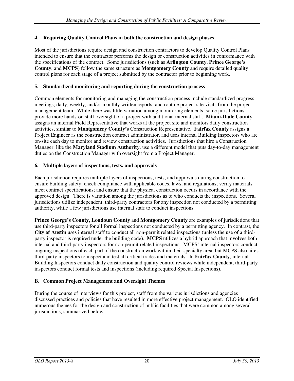### **4. Requiring Quality Control Plans in both the construction and design phases**

Most of the jurisdictions require design and construction contractors to develop Quality Control Plans intended to ensure that the contractor performs the design or construction activities in conformance with the specifications of the contract. Some jurisdictions (such as **Arlington County**, **Prince George's County**, and **MCPS**) follow the same structure as **Montgomery County** and require detailed quality control plans for each stage of a project submitted by the contractor prior to beginning work.

#### **5. Standardized monitoring and reporting during the construction process**

Common elements for monitoring and managing the construction process include standardized progress meetings; daily, weekly, and/or monthly written reports; and routine project site-visits from the project management team. While there was little variation among monitoring elements, some jurisdictions provide more hands-on staff oversight of a project with additional internal staff. **Miami-Dade County** assigns an internal Field Representative that works at the project site and monitors daily construction activities, similar to **Montgomery County's** Construction Representative. **Fairfax County** assigns a Project Engineer as the construction contract administrator, and uses internal Building Inspectors who are on-site each day to monitor and review construction activities. Jurisdictions that hire a Construction Manager, like the **Maryland Stadium Authority**, use a different model that puts day-to-day management duties on the Construction Manager with oversight from a Project Manager.

#### **6. Multiple layers of inspections, tests, and approvals**

Each jurisdiction requires multiple layers of inspections, tests, and approvals during construction to ensure building safety; check compliance with applicable codes, laws, and regulations; verify materials meet contract specifications; and ensure that the physical construction occurs in accordance with the approved design. There is variation among the jurisdictions as to who conducts the inspections. Several jurisdictions utilize independent, third-party contractors for any inspection not conducted by a permitting authority, while a few jurisdictions use internal staff to conduct inspections.

**Prince George's County, Loudoun County** and **Montgomery County** are examples of jurisdictions that use third-party inspectors for all formal inspections not conducted by a permitting agency. In contrast, the **City of Austin** uses internal staff to conduct all non-permit related inspections (unless the use of a thirdparty inspector is required under the building code). **MCPS** utilizes a hybrid approach that involves both internal and third-party inspectors for non-permit related inspections. MCPS' internal inspectors conduct ongoing inspections of each part of the construction work within their specialty area, but MCPS also hires third-party inspectors to inspect and test all critical trades and materials. In **Fairfax County**, internal Building Inspectors conduct daily construction and quality control reviews while independent, third-party inspectors conduct formal tests and inspections (including required Special Inspections).

### **B. Common Project Management and Oversight Themes**

During the course of interviews for this project, staff from the various jurisdictions and agencies discussed practices and policies that have resulted in more effective project management. OLO identified numerous themes for the design and construction of public facilities that were common among several jurisdictions, summarized below: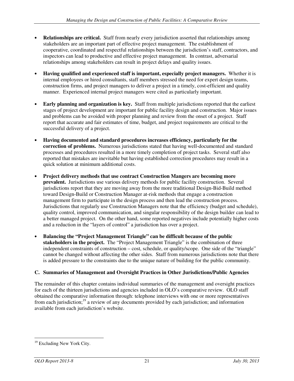- **Relationships are critical.** Staff from nearly every jurisdiction asserted that relationships among stakeholders are an important part of effective project management. The establishment of cooperative, coordinated and respectful relationships between the jurisdiction's staff, contractors, and inspectors can lead to productive and effective project management. In contrast, adversarial relationships among stakeholders can result in project delays and quality issues.
- **Having qualified and experienced staff is important, especially project managers.** Whether it is internal employees or hired consultants, staff members stressed the need for expert design teams, construction firms, and project managers to deliver a project in a timely, cost-efficient and quality manner. Experienced internal project managers were cited as particularly important.
- **Early planning and organization is key.** Staff from multiple jurisdictions reported that the earliest stages of project development are important for public facility design and construction. Major issues and problems can be avoided with proper planning and review from the onset of a project. Staff report that accurate and fair estimates of time, budget, and project requirements are critical to the successful delivery of a project.
- **Having documented and standard procedures increases efficiency, particularly for the correction of problems.** Numerous jurisdictions stated that having well-documented and standard processes and procedures resulted in a more timely completion of project tasks. Several staff also reported that mistakes are inevitable but having established correction procedures may result in a quick solution at minimum additional costs.
- **Project delivery methods that use contract Construction Mangers are becoming more prevalent.** Jurisdictions use various delivery methods for public facility construction. Several jurisdictions report that they are moving away from the more traditional Design-Bid-Build method toward Design-Build or Construction Manager at-risk methods that engage a construction management firm to participate in the design process and then lead the construction process. Jurisdictions that regularly use Construction Managers note that the efficiency (budget and schedule), quality control, improved communication, and singular responsibility of the design builder can lead to a better managed project. On the other hand, some reported negatives include potentially higher costs and a reduction in the "layers of control" a jurisdiction has over a project.
- **Balancing the "Project Management Triangle" can be difficult because of the public stakeholders in the project.** The "Project Management Triangle" is the combination of three independent constraints of construction – cost, schedule, or quality/scope. One side of the "triangle" cannot be changed without affecting the other sides. Staff from numerous jurisdictions note that there is added pressure to the constraints due to the unique nature of building for the public community.

### **C. Summaries of Management and Oversight Practices in Other Jurisdictions/Public Agencies**

The remainder of this chapter contains individual summaries of the management and oversight practices for each of the thirteen jurisdictions and agencies included in OLO's comparative review. OLO staff obtained the comparative information through: telephone interviews with one or more representatives from each jurisdiction;<sup>19</sup> a review of any documents provided by each jurisdiction; and information available from each jurisdiction's website.

 $\overline{a}$ <sup>19</sup> Excluding New York City.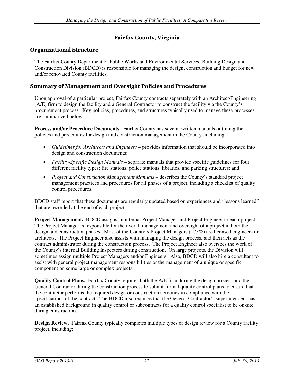# Fairfax County, Virginia

### Organizational Structure

The Fairfax County Department of Public Works and Environmental Services, Building Design and Construction Division (BDCD) is responsible for managing the design, construction and budget for new and/or renovated County facilities.

### Summary of Management and Oversight Policies and Procedures

Upon approval of a particular project, Fairfax County contracts separately with an Architect/Engineering (A/E) firm to design the facility and a General Contractor to construct the facility via the County's procurement process. Key policies, procedures, and structures typically used to manage these processes are summarized below.

**Process and/or Procedure Documents.** Fairfax County has several written manuals outlining the policies and procedures for design and construction management in the County, including:

- *Guidelines for Architects and Engineers* provides information that should be incorporated into design and construction documents;
- *Facility-Specific Design Manuals*  separate manuals that provide specific guidelines for four different facility types: fire stations, police stations, libraries, and parking structures; and
- *Project and Construction Management Manuals* describes the County's standard project management practices and procedures for all phases of a project, including a checklist of quality control procedures.

BDCD staff report that these documents are regularly updated based on experiences and "lessons learned" that are recorded at the end of each project.

**Project Management.** BDCD assigns an internal Project Manager and Project Engineer to each project. The Project Manager is responsible for the overall management and oversight of a project in both the design and construction phases. Most of the County's Project Managers (~75%) are licensed engineers or architects. The Project Engineer also assists with managing the design process, and then acts as the contract administrator during the construction process. The Project Engineer also oversees the work of the County's internal Building Inspectors during construction. On large projects, the Division will sometimes assign multiple Project Managers and/or Engineers. Also, BDCD will also hire a consultant to assist with general project management responsibilities or the management of a unique or specific component on some large or complex projects.

**Quality Control Plans.** Fairfax County requires both the A/E firm during the design process and the General Contractor during the construction process to submit formal quality control plans to ensure that the contractor performs the required design or construction activities in compliance with the specifications of the contract. The BDCD also requires that the General Contractor's superintendent has an established background in quality control or subcontracts for a quality control specialist to be on-site during construction.

**Design Review.** Fairfax County typically completes multiple types of design review for a County facility project, including: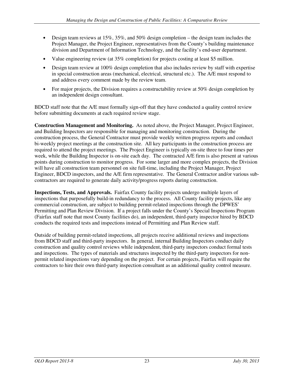- Design team reviews at 15%, 35%, and 50% design completion the design team includes the Project Manager, the Project Engineer, representatives from the County's building maintenance division and Department of Information Technology, and the facility's end-user department.
- Value engineering review (at 35% completion) for projects costing at least \$5 million.
- Design team review at 100% design completion that also includes review by staff with expertise in special construction areas (mechanical, electrical, structural etc.). The A/E must respond to and address every comment made by the review team.
- For major projects, the Division requires a constructability review at 50% design completion by an independent design consultant.

BDCD staff note that the A/E must formally sign-off that they have conducted a quality control review before submitting documents at each required review stage.

**Construction Management and Monitoring.** As noted above, the Project Manager, Project Engineer, and Building Inspectors are responsible for managing and monitoring construction. During the construction process, the General Contractor must provide weekly written progress reports and conduct bi-weekly project meetings at the construction site. All key participants in the construction process are required to attend the project meetings. The Project Engineer is typically on-site three to four times per week, while the Building Inspector is on-site each day. The contracted A/E firm is also present at various points during construction to monitor progress. For some larger and more complex projects, the Division will have all construction team personnel on site full-time, including the Project Manager, Project Engineer, BDCD inspectors, and the A/E firm representative. The General Contractor and/or various subcontractors are required to generate daily activity/progress reports during construction.

**Inspections, Tests, and Approvals.** Fairfax County facility projects undergo multiple layers of inspections that purposefully build-in redundancy to the process. All County facility projects, like any commercial construction, are subject to building permit-related inspections through the DPWES' Permitting and Plan Review Division. If a project falls under the County's Special Inspections Program (Fairfax staff note that most County facilities do), an independent, third-party inspector hired by BDCD conducts the required tests and inspections instead of Permitting and Plan Review staff.

Outside of building permit-related inspections, all projects receive additional reviews and inspections from BDCD staff and third-party inspectors. In general, internal Building Inspectors conduct daily construction and quality control reviews while independent, third-party inspectors conduct formal tests and inspections. The types of materials and structures inspected by the third-party inspectors for nonpermit related inspections vary depending on the project. For certain projects, Fairfax will require the contractors to hire their own third-party inspection consultant as an additional quality control measure.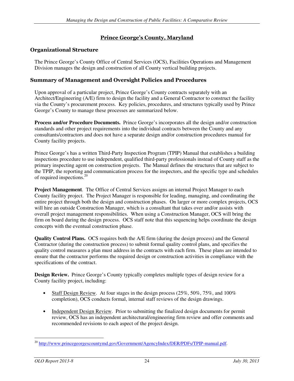### Prince George's County, Maryland

### Organizational Structure

The Prince George's County Office of Central Services (OCS), Facilities Operations and Management Division manages the design and construction of all County vertical building projects.

#### Summary of Management and Oversight Policies and Procedures

Upon approval of a particular project, Prince George's County contracts separately with an Architect/Engineering (A/E) firm to design the facility and a General Contractor to construct the facility via the County's procurement process. Key policies, procedures, and structures typically used by Prince George's County to manage these processes are summarized below.

**Process and/or Procedure Documents.** Prince George's incorporates all the design and/or construction standards and other project requirements into the individual contracts between the County and any consultants/contractors and does not have a separate design and/or construction procedures manual for County facility projects.

Prince George's has a written Third-Party Inspection Program (TPIP) Manual that establishes a building inspections procedure to use independent, qualified third-party professionals instead of County staff as the primary inspecting agent on construction projects. The Manual defines the structures that are subject to the TPIP, the reporting and communication process for the inspectors, and the specific type and schedules of required inspections.<sup>20</sup>

**Project Management**. The Office of Central Services assigns an internal Project Manager to each County facility project. The Project Manager is responsible for leading, managing, and coordinating the entire project through both the design and construction phases. On larger or more complex projects, OCS will hire an outside Construction Manager, which is a consultant that takes over and/or assists with overall project management responsibilities. When using a Construction Manager, OCS will bring the firm on board during the design process. OCS staff note that this sequencing helps coordinate the design concepts with the eventual construction phase.

**Quality Control Plans.** OCS requires both the A/E firm (during the design process) and the General Contractor (during the construction process) to submit formal quality control plans, and specifies the quality control measures a plan must address in the contracts with each firm. These plans are intended to ensure that the contractor performs the required design or construction activities in compliance with the specifications of the contract.

**Design Review.** Prince George's County typically completes multiple types of design review for a County facility project, including:

- Staff Design Review. At four stages in the design process  $(25\%, 50\%, 75\%, \text{ and } 100\%$ completion), OCS conducts formal, internal staff reviews of the design drawings.
- Independent Design Review. Prior to submitting the finalized design documents for permit review, OCS has an independent architectural/engineering firm review and offer comments and recommended revisions to each aspect of the project design.

 $\overline{a}$ <sup>20</sup> http://www.princegeorgescountymd.gov/Government/AgencyIndex/DER/PDFs/TPIP-manual.pdf.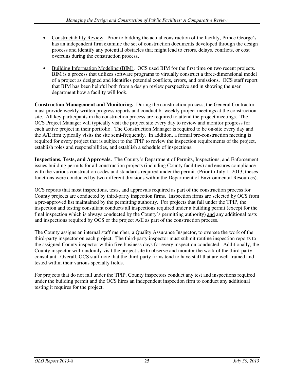- Constructability Review. Prior to bidding the actual construction of the facility, Prince George's has an independent firm examine the set of construction documents developed through the design process and identify any potential obstacles that might lead to errors, delays, conflicts, or cost overruns during the construction process.
- Building Information Modeling (BIM).OCS used BIM for the first time on two recent projects. BIM is a process that utilizes software programs to virtually construct a three-dimensional model of a project as designed and identifies potential conflicts, errors, and omissions. OCS staff report that BIM has been helpful both from a design review perspective and in showing the user department how a facility will look.

**Construction Management and Monitoring.** During the construction process, the General Contractor must provide weekly written progress reports and conduct bi-weekly project meetings at the construction site. All key participants in the construction process are required to attend the project meetings. The OCS Project Manager will typically visit the project site every day to review and monitor progress for each active project in their portfolio. The Construction Manager is required to be on-site every day and the A/E firm typically visits the site semi-frequently. In addition, a formal pre-construction meeting is required for every project that is subject to the TPIP to review the inspection requirements of the project, establish roles and responsibilities, and establish a schedule of inspections.

**Inspections, Tests, and Approvals.** The County's Department of Permits, Inspections, and Enforcement issues building permits for all construction projects (including County facilities) and ensures compliance with the various construction codes and standards required under the permit. (Prior to July 1, 2013, theses functions were conducted by two different divisions within the Department of Environmental Resources).

OCS reports that most inspections, tests, and approvals required as part of the construction process for County projects are conducted by third-party inspection firms. Inspection firms are selected by OCS from a pre-approved list maintained by the permitting authority. For projects that fall under the TPIP, the inspection and testing consultant conducts all inspections required under a building permit (except for the final inspection which is always conducted by the County's permitting authority) and any additional tests and inspections required by OCS or the project A/E as part of the construction process.

The County assigns an internal staff member, a Quality Assurance Inspector, to oversee the work of the third-party inspector on each project. The third-party inspector must submit routine inspection reports to the assigned County inspector within five business days for every inspection conducted. Additionally, the County inspector will randomly visit the project site to observe and monitor the work of the third-party consultant. Overall, OCS staff note that the third-party firms tend to have staff that are well-trained and tested within their various specialty fields.

For projects that do not fall under the TPIP, County inspectors conduct any test and inspections required under the building permit and the OCS hires an independent inspection firm to conduct any additional testing it requires for the project.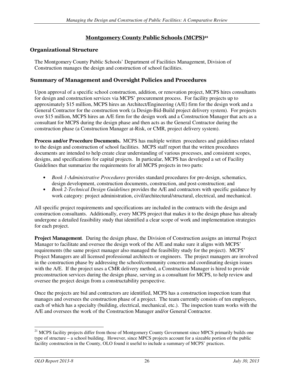# Montgomery County Public Schools (MCPS)<sup>21</sup>

### Organizational Structure

The Montgomery County Public Schools' Department of Facilities Management, Division of Construction manages the design and construction of school facilities.

### Summary of Management and Oversight Policies and Procedures

Upon approval of a specific school construction, addition, or renovation project, MCPS hires consultants for design and construction services via MCPS' procurement process. For facility projects up to approximately \$15 million, MCPS hires an Architect/Engineering (A/E) firm for the design work and a General Contractor for the construction work (a Design-Bid-Build project delivery system). For projects over \$15 million, MCPS hires an A/E firm for the design work and a Construction Manager that acts as a consultant for MCPS during the design phase and then acts as the General Contractor during the construction phase (a Construction Manager at-Risk, or CMR, project delivery system).

**Process and/or Procedure Documents.** MCPS has multiple written procedures and guidelines related to the design and construction of school facilities. MCPS staff report that the written procedures documents are intended to help create clear understanding of various processes, and consistent scopes, designs, and specifications for capital projects. In particular, MCPS has developed a set of Facility Guidelines that summarize the requirements for all MCPS projects in two parts:

- *Book 1-Administrative Procedures* provides standard procedures for pre-design, schematics, design development, construction documents, construction, and post-construction; and
- *Book 2-Technical Design Guidelines* provides the A/E and contractors with specific guidance by work category: project administration, civil/architectural/structural, electrical, and mechanical.

All specific project requirements and specifications are included in the contracts with the design and construction consultants. Additionally, every MCPS project that makes it to the design phase has already undergone a detailed feasibility study that identified a clear scope of work and implementation strategies for each project.

**Project Management**. During the design phase, the Division of Construction assigns an internal Project Manager to facilitate and oversee the design work of the A/E and make sure it aligns with MCPS' requirements (the same project manager also managed the feasibility study for the project). MCPS' Project Managers are all licensed professional architects or engineers. The project managers are involved in the construction phase by addressing the school/community concerns and coordinating design issues with the A/E. If the project uses a CMR delivery method, a Construction Manager is hired to provide preconstruction services during the design phase, serving as a consultant for MCPS, to help review and oversee the project design from a constructability perspective.

Once the projects are bid and contractors are identified, MCPS has a construction inspection team that manages and oversees the construction phase of a project. The team currently consists of ten employees, each of which has a specialty (building, electrical, mechanical, etc.). The inspection team works with the A/E and oversees the work of the Construction Manager and/or General Contractor.

 $\overline{a}$ <sup>21</sup> MCPS facility projects differ from those of Montgomery County Government since MPCS primarily builds one type of structure – a school building. However, since MPCS projects account for a sizeable portion of the public facility construction in the County, OLO found it useful to include a summary of MCPS' practices.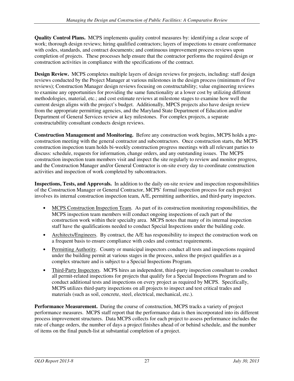**Quality Control Plans.** MCPS implements quality control measures by: identifying a clear scope of work; thorough design reviews; hiring qualified contractors; layers of inspections to ensure conformance with codes, standards, and contract documents; and continuous improvement process reviews upon completion of projects. These processes help ensure that the contractor performs the required design or construction activities in compliance with the specifications of the contract.

**Design Review.** MCPS completes multiple layers of design reviews for projects, including: staff design reviews conducted by the Project Manager at various milestones in the design process (minimum of five reviews); Construction Manager design reviews focusing on constructability; value engineering reviews to examine any opportunities for providing the same functionality at a lower cost by utilizing different methodologies, material, etc.; and cost estimate reviews at milestone stages to examine how well the current design aligns with the project's budget. Additionally, MPCS projects also have design review from the appropriate permitting agencies, and the Maryland State Department of Education and/or Department of General Services review at key milestones. For complex projects, a separate constructability consultant conducts design reviews.

**Construction Management and Monitoring.** Before any construction work begins, MCPS holds a preconstruction meeting with the general contractor and subcontractors. Once construction starts, the MCPS construction inspection team holds bi-weekly construction progress meetings with all relevant parties to discuss: schedule, requests for information, change orders, and any outstanding issues. The MCPS construction inspection team members visit and inspect the site regularly to review and monitor progress, and the Construction Manager and/or General Contractor is on-site every day to coordinate construction activities and inspection of work completed by subcontractors.

**Inspections, Tests, and Approvals.** In addition to the daily on-site review and inspection responsibilities of the Construction Manager or General Contractor, MCPS' formal inspection process for each project involves its internal construction inspection team, A/E, permitting authorities, and third-party inspectors.

- MCPS Construction Inspection Team. As part of its construction monitoring responsibilities, the MCPS inspection team members will conduct ongoing inspections of each part of the construction work within their specialty area. MCPS notes that many of its internal inspection staff have the qualifications needed to conduct Special Inspections under the building code.
- Architects/Engineers. By contract, the A/E has responsibility to inspect the construction work on a frequent basis to ensure compliance with codes and contract requirements.
- Permitting Authority. County or municipal inspectors conduct all tests and inspections required under the building permit at various stages in the process, unless the project qualifies as a complex structure and is subject to a Special Inspections Program.
- Third-Party Inspectors. MCPS hires an independent, third-party inspection consultant to conduct all permit-related inspections for projects that qualify for a Special Inspections Program and to conduct additional tests and inspections on every project as required by MCPS. Specifically, MCPS utilizes third-party inspections on all projects to inspect and test critical trades and materials (such as soil, concrete, steel, electrical, mechanical, etc.).

**Performance Measurement.** During the course of construction, MCPS tracks a variety of project performance measures. MCPS staff report that the performance data is then incorporated into its different process improvement structures. Data MCPS collects for each project to assess performance includes the rate of change orders, the number of days a project finishes ahead of or behind schedule, and the number of items on the final punch-list at substantial completion of a project.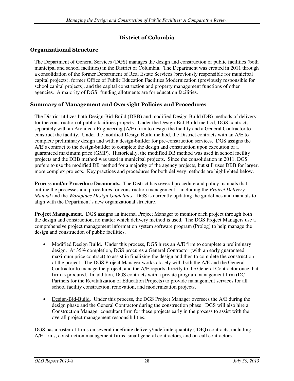# District of Columbia

### Organizational Structure

The Department of General Services (DGS) manages the design and construction of public facilities (both municipal and school facilities) in the District of Columbia. The Department was created in 2011 through a consolidation of the former Department of Real Estate Services (previously responsible for municipal capital projects), former Office of Public Education Facilities Modernization (previously responsible for school capital projects), and the capital construction and property management functions of other agencies. A majority of DGS' funding allotments are for education facilities.

### Summary of Management and Oversight Policies and Procedures

The District utilizes both Design-Bid-Build (DBB) and modified Design Build (DB) methods of delivery for the construction of public facilities projects. Under the Design-Bid-Build method, DGS contracts separately with an Architect/ Engineering (A/E) firm to design the facility and a General Contractor to construct the facility. Under the modified Design Build method, the District contracts with an A/E to complete preliminary design and with a design-builder for pre-construction services. DGS assigns the A/E's contract to the design-builder to complete the design and construction upon execution of a guaranteed maximum price (GMP). Historically, the modified DB method was used in school facility projects and the DBB method was used in municipal projects. Since the consolidation in 2011, DGS prefers to use the modified DB method for a majority of the agency projects, but still uses DBB for larger, more complex projects. Key practices and procedures for both delivery methods are highlighted below.

**Process and/or Procedure Documents.** The District has several procedure and policy manuals that outline the processes and procedures for construction management – including the *Project Delivery Manual* and the *Workplace Design Guidelines*. DGS is currently updating the guidelines and manuals to align with the Department's new organizational structure.

**Project Management.** DGS assigns an internal Project Manager to monitor each project through both the design and construction, no matter which delivery method is used. The DGS Project Managers use a comprehensive project management information system software program (Prolog) to help manage the design and construction of public facilities.

- Modified Design Build. Under this process, DGS hires an A/E firm to complete a preliminary design. At 35% completion, DGS procures a General Contractor (with an early guaranteed maximum price contract) to assist in finalizing the design and then to complete the construction of the project. The DGS Project Manager works closely with both the A/E and the General Contractor to manage the project, and the A/E reports directly to the General Contractor once that firm is procured. In addition, DGS contracts with a private program management firm (DC Partners for the Revitalization of Education Projects) to provide management services for all school facility construction, renovation, and modernization projects.
- Design-Bid-Build. Under this process, the DGS Project Manager oversees the A/E during the design phase and the General Contractor during the construction phase. DGS will also hire a Construction Manager consultant firm for these projects early in the process to assist with the overall project management responsibilities.

DGS has a roster of firms on several indefinite delivery/indefinite quantity (IDIQ) contracts, including A/E firms, construction management firms, small general contractors, and on-call contractors.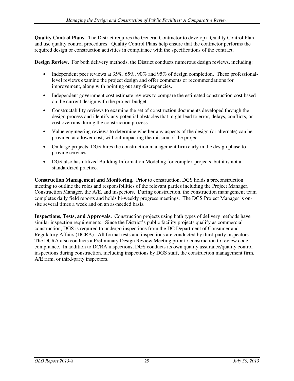**Quality Control Plans.** The District requires the General Contractor to develop a Quality Control Plan and use quality control procedures. Quality Control Plans help ensure that the contractor performs the required design or construction activities in compliance with the specifications of the contract.

**Design Review.** For both delivery methods, the District conducts numerous design reviews, including:

- Independent peer reviews at 35%, 65%, 90% and 95% of design completion. These professionallevel reviews examine the project design and offer comments or recommendations for improvement, along with pointing out any discrepancies.
- Independent government cost estimate reviews to compare the estimated construction cost based on the current design with the project budget.
- Constructability reviews to examine the set of construction documents developed through the design process and identify any potential obstacles that might lead to error, delays, conflicts, or cost overruns during the construction process.
- Value engineering reviews to determine whether any aspects of the design (or alternate) can be provided at a lower cost, without impacting the mission of the project.
- On large projects, DGS hires the construction management firm early in the design phase to provide services.
- DGS also has utilized Building Information Modeling for complex projects, but it is not a standardized practice.

**Construction Management and Monitoring.** Prior to construction, DGS holds a preconstruction meeting to outline the roles and responsibilities of the relevant parties including the Project Manager, Construction Manager, the A/E, and inspectors. During construction, the construction management team completes daily field reports and holds bi-weekly progress meetings. The DGS Project Manager is onsite several times a week and on an as-needed basis.

**Inspections, Tests, and Approvals.** Construction projects using both types of delivery methods have similar inspection requirements. Since the District's public facility projects qualify as commercial construction, DGS is required to undergo inspections from the DC Department of Consumer and Regulatory Affairs (DCRA). All formal tests and inspections are conducted by third-party inspectors. The DCRA also conducts a Preliminary Design Review Meeting prior to construction to review code compliance. In addition to DCRA inspections, DGS conducts its own quality assurance/quality control inspections during construction, including inspections by DGS staff, the construction management firm, A/E firm, or third-party inspectors.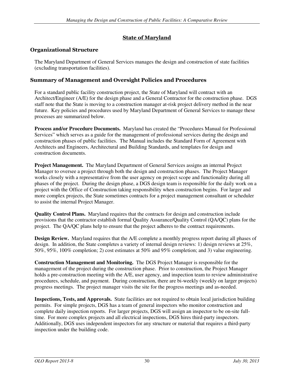# State of Maryland

### Organizational Structure

The Maryland Department of General Services manages the design and construction of state facilities (excluding transportation facilities).

### Summary of Management and Oversight Policies and Procedures

For a standard public facility construction project, the State of Maryland will contract with an Architect/Engineer (A/E) for the design phase and a General Contractor for the construction phase. DGS staff note that the State is moving to a construction manager at-risk project delivery method in the near future. Key policies and procedures used by Maryland Department of General Services to manage these processes are summarized below.

**Process and/or Procedure Documents.** Maryland has created the "Procedures Manual for Professional Services" which serves as a guide for the management of professional services during the design and construction phases of public facilities. The Manual includes the Standard Form of Agreement with Architects and Engineers, Architectural and Building Standards, and templates for design and construction documents.

**Project Management.** The Maryland Department of General Services assigns an internal Project Manager to oversee a project through both the design and construction phases. The Project Manager works closely with a representative from the user agency on project scope and functionality during all phases of the project. During the design phase, a DGS design team is responsible for the daily work on a project with the Office of Construction taking responsibility when construction begins. For larger and more complex projects, the State sometimes contracts for a project management consultant or scheduler to assist the internal Project Manager.

**Quality Control Plans.** Maryland requires that the contracts for design and construction include provisions that the contractor establish formal Quality Assurance/Quality Control (QA/QC) plans for the project. The QA/QC plans help to ensure that the project adheres to the contract requirements.

**Design Review.** Maryland requires that the A/E complete a monthly progress report during all phases of design. In addition, the State completes a variety of internal design reviews: 1) design reviews at 25%, 50%, 95%, 100% completion; 2) cost estimates at 50% and 95% completion; and 3) value engineering.

**Construction Management and Monitoring.** The DGS Project Manager is responsible for the management of the project during the construction phase. Prior to construction, the Project Manager holds a pre-construction meeting with the A/E, user agency, and inspection team to review administrative procedures, schedule, and payment. During construction, there are bi-weekly (weekly on larger projects) progress meetings. The project manager visits the site for the progress meetings and as-needed.

**Inspections, Tests, and Approvals.** State facilities are not required to obtain local jurisdiction building permits. For simple projects, DGS has a team of general inspectors who monitor construction and complete daily inspection reports. For larger projects, DGS will assign an inspector to be on-site fulltime. For more complex projects and all electrical inspections, DGS hires third-party inspectors. Additionally, DGS uses independent inspectors for any structure or material that requires a third-party inspection under the building code.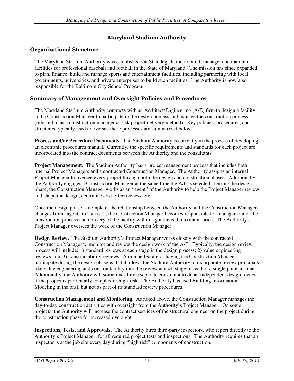# Maryland Stadium Authority

### Organizational Structure

The Maryland Stadium Authority was established via State legislation to build, manage, and maintain facilities for professional baseball and football in the State of Maryland. The mission has since expanded to plan, finance, build and manage sports and entertainment facilities, including partnering with local governments, universities, and private enterprises to build such facilities. The Authority is now also responsible for the Baltimore City School Program.

### Summary of Management and Oversight Policies and Procedures

The Maryland Stadium Authority contracts with an Architect/Engineering (A/E) firm to design a facility and a Construction Manager to participate in the design process and manage the construction process (referred to as a construction manager at-risk project delivery method). Key policies, procedures, and structures typically used to oversee these processes are summarized below.

**Process and/or Procedure Documents.** The Stadium Authority is currently in the process of developing an electronic procedures manual. Currently, the specific requirements and standards for each project are incorporated into the contract documents between the Authority and the consultants.

**Project Management**. The Stadium Authority has a project management process that includes both internal Project Managers and a contracted Construction Manager. The Authority assigns an internal Project Manager to oversee every project through both the design and construction phases. Additionally, the Authority engages a Construction Manager at the same time the A/E is selected. During the design phase, the Construction Manager works as an "agent" of the Authority to help the Project Manager review and shape the design, determine cost-effectiveness, etc.

Once the design phase is complete, the relationship between the Authority and the Construction Manager changes from "agent" to "at-risk"; the Construction Manager becomes responsible for management of the construction process and delivery of the facility within a guaranteed maximum price. The Authority's Project Manager oversees the work of the Construction Manager.

**Design Review.** The Stadium Authority's Project Manager works closely with the contracted Construction Manager to monitor and review the design work of the A/E. Typically, the design review process will include: 1) standard reviews at each stage in the design process; 2) value engineering reviews; and 3) constructability reviews. A unique feature of having the Construction Manager participate during the design phase is that it allows the Stadium Authority to incorporate review principals like value engineering and constructability into the review at each stage instead of a single point-in-time. Additionally, the Authority will sometimes hire a separate consultant to do an independent design review if the project is particularly complex or high-risk. The Authority has used Building Information Modeling in the past, but not as part of its standard review procedures.

**Construction Management and Monitoring.** As noted above, the Construction Manager manages the day-to-day construction activities with oversight from the Authority's Project Manager. On some projects, the Authority will increase the contract services of the structural engineer on the project during the construction phase for increased oversight.

**Inspections, Tests, and Approvals.** The Authority hires third-party inspectors, who report directly to the Authority's Project Manager, for all required project tests and inspections. The Authority requires that an inspector is at the job site every day during "high risk" components of construction.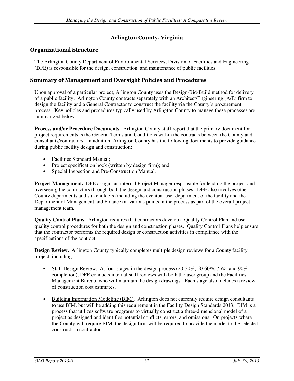# Arlington County, Virginia

### Organizational Structure

The Arlington County Department of Environmental Services, Division of Facilities and Engineering (DFE) is responsible for the design, construction, and maintenance of public facilities.

### Summary of Management and Oversight Policies and Procedures

Upon approval of a particular project, Arlington County uses the Design-Bid-Build method for delivery of a public facility. Arlington County contracts separately with an Architect/Engineering (A/E) firm to design the facility and a General Contractor to construct the facility via the County's procurement process. Key policies and procedures typically used by Arlington County to manage these processes are summarized below.

**Process and/or Procedure Documents.** Arlington County staff report that the primary document for project requirements is the General Terms and Conditions within the contracts between the County and consultants/contractors. In addition, Arlington County has the following documents to provide guidance during public facility design and construction:

- Facilities Standard Manual;
- Project specification book (written by design firm); and
- Special Inspection and Pre-Construction Manual.

**Project Management.** DFE assigns an internal Project Manager responsible for leading the project and overseeing the contractors through both the design and construction phases. DFE also involves other County departments and stakeholders (including the eventual user department of the facility and the Department of Management and Finance) at various points in the process as part of the overall project management team.

**Quality Control Plans.** Arlington requires that contractors develop a Quality Control Plan and use quality control procedures for both the design and construction phases. Quality Control Plans help ensure that the contractor performs the required design or construction activities in compliance with the specifications of the contract.

**Design Review.** Arlington County typically completes multiple design reviews for a County facility project, including:

- Staff Design Review. At four stages in the design process (20-30%, 50-60%, 75%, and 90% completion), DFE conducts internal staff reviews with both the user group and the Facilities Management Bureau, who will maintain the design drawings. Each stage also includes a review of construction cost estimates.
- Building Information Modeling (BIM).Arlington does not currently require design consultants to use BIM, but will be adding this requirement in the Facility Design Standards 2013. BIM is a process that utilizes software programs to virtually construct a three-dimensional model of a project as designed and identifies potential conflicts, errors, and omissions. On projects where the County will require BIM, the design firm will be required to provide the model to the selected construction contractor.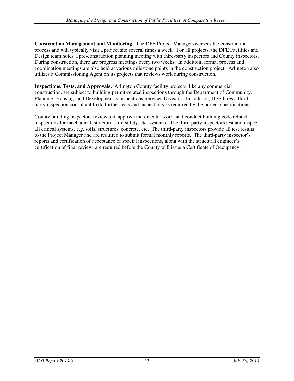**Construction Management and Monitoring.** The DFE Project Manager oversees the construction process and will typically visit a project site several times a week. For all projects, the DFE Facilities and Design team holds a pre-construction planning meeting with third-party inspectors and County inspectors. During construction, there are progress meetings every two weeks. In addition, formal process and coordination meetings are also held at various milestone points in the construction project. Arlington also utilizes a Commissioning Agent on its projects that reviews work during construction.

**Inspections, Tests, and Approvals.** Arlington County facility projects, like any commercial construction, are subject to building permit-related inspections through the Department of Community, Planning, Housing, and Development's Inspections Services Division. In addition, DFE hires a thirdparty inspection consultant to do further tests and inspections as required by the project specifications.

County building inspectors review and approve incremental work, and conduct building code related inspections for mechanical, structural, life-safety, etc. systems. The third-party inspectors test and inspect all critical systems, e.g. soils, structures, concrete, etc. The third-party inspectors provide all test results to the Project Manager and are required to submit formal monthly reports. The third-party inspector's reports and certification of acceptance of special inspections, along with the structural engineer's certification of final review, are required before the County will issue a Certificate of Occupancy.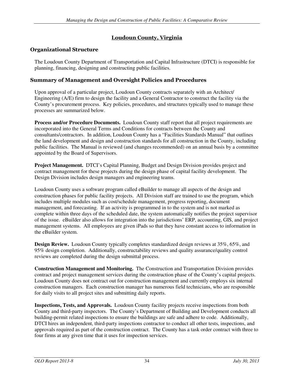# Loudoun County, Virginia

### Organizational Structure

The Loudoun County Department of Transportation and Capital Infrastructure (DTCI) is responsible for planning, financing, designing and constructing public facilities.

### Summary of Management and Oversight Policies and Procedures

Upon approval of a particular project, Loudoun County contracts separately with an Architect/ Engineering (A/E) firm to design the facility and a General Contractor to construct the facility via the County's procurement process. Key policies, procedures, and structures typically used to manage these processes are summarized below.

**Process and/or Procedure Documents.** Loudoun County staff report that all project requirements are incorporated into the General Terms and Conditions for contracts between the County and consultants/contractors. In addition, Loudoun County has a "Facilities Standards Manual" that outlines the land development and design and construction standards for all construction in the County, including public facilities. The Manual is reviewed (and changes recommended) on an annual basis by a committee appointed by the Board of Supervisors.

**Project Management.** DTCI's Capital Planning, Budget and Design Division provides project and contract management for these projects during the design phase of capital facility development. The Design Division includes design managers and engineering teams.

Loudoun County uses a software program called eBuilder to manage all aspects of the design and construction phases for public facility projects. All Division staff are trained to use the program, which includes multiple modules such as cost/schedule management, progress reporting, document management, and forecasting. If an activity is programmed in to the system and is not marked as complete within three days of the scheduled date, the system automatically notifies the project supervisor of the issue. eBuilder also allows for integration into the jurisdictions' ERP, accounting, GIS, and project management systems. All employees are given iPads so that they have constant access to information in the eBuilder system.

**Design Review.** Loudoun County typically completes standardized design reviews at 35%, 65%, and 95% design completion. Additionally, constructability reviews and quality assurance/quality control reviews are completed during the design submittal process.

**Construction Management and Monitoring.** The Construction and Transportation Division provides contract and project management services during the construction phase of the County's capital projects. Loudoun County does not contract out for construction management and currently employs six internal construction managers. Each construction manager has numerous field technicians, who are responsible for daily visits to all project sites and submitting daily reports.

**Inspections, Tests, and Approvals.** Loudoun County facility projects receive inspections from both County and third-party inspectors. The County's Department of Building and Development conducts all building-permit related inspections to ensure the buildings are safe and adhere to code. Additionally, DTCI hires an independent, third-party inspections contractor to conduct all other tests, inspections, and approvals required as part of the construction contract. The County has a task order contract with three to four firms at any given time that it uses for inspection services.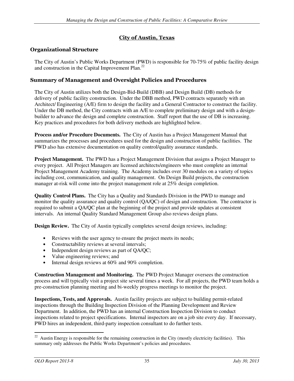# City of Austin, Texas

### Organizational Structure

The City of Austin's Public Works Department (PWD) is responsible for 70-75% of public facility design and construction in the Capital Improvement Plan. $^{22}$ 

### Summary of Management and Oversight Policies and Procedures

The City of Austin utilizes both the Design-Bid-Build (DBB) and Design Build (DB) methods for delivery of public facility construction. Under the DBB method, PWD contracts separately with an Architect/ Engineering (A/E) firm to design the facility and a General Contractor to construct the facility. Under the DB method, the City contracts with an A/E to complete preliminary design and with a designbuilder to advance the design and complete construction. Staff report that the use of DB is increasing. Key practices and procedures for both delivery methods are highlighted below.

**Process and/or Procedure Documents.** The City of Austin has a Project Management Manual that summarizes the processes and procedures used for the design and construction of public facilities. The PWD also has extensive documentation on quality control/quality assurance standards.

**Project Management.** The PWD has a Project Management Division that assigns a Project Manager to every project. All Project Managers are licensed architects/engineers who must complete an internal Project Management Academy training. The Academy includes over 30 modules on a variety of topics including cost, communication, and quality management. On Design Build projects, the construction manager at-risk will come into the project management role at 25% design completion.

**Quality Control Plans.** The City has a Quality and Standards Division in the PWD to manage and monitor the quality assurance and quality control (QA/QC) of design and construction. The contractor is required to submit a QA/QC plan at the beginning of the project and provide updates at consistent intervals. An internal Quality Standard Management Group also reviews design plans.

**Design Review.** The City of Austin typically completes several design reviews, including:

- Reviews with the user agency to ensure the project meets its needs;
- Constructability reviews at several intervals;
- Independent design reviews as part of QA/QC;
- Value engineering reviews; and
- Internal design reviews at 60% and 90% completion.

**Construction Management and Monitoring.** The PWD Project Manager oversees the construction process and will typically visit a project site several times a week. For all projects, the PWD team holds a pre-construction planning meeting and bi-weekly progress meetings to monitor the project.

**Inspections, Tests, and Approvals.** Austin facility projects are subject to building permit-related inspections through the Building Inspection Division of the Planning Development and Review Department. In addition, the PWD has an internal Construction Inspection Division to conduct inspections related to project specifications. Internal inspectors are on a job site every day. If necessary, PWD hires an independent, third-party inspection consultant to do further tests.

 $\overline{a}$  $22$  Austin Energy is responsible for the remaining construction in the City (mostly electricity facilities). This summary only addresses the Public Works Department's policies and procedures.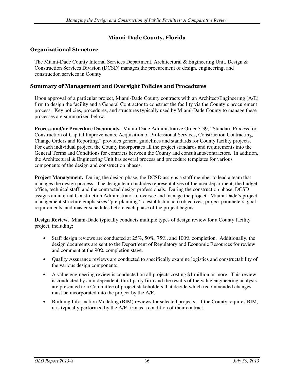# Miami-Dade County, Florida

### Organizational Structure

The Miami-Dade County Internal Services Department, Architectural & Engineering Unit, Design & Construction Services Division (DCSD) manages the procurement of design, engineering, and construction services in County.

### Summary of Management and Oversight Policies and Procedures

Upon approval of a particular project, Miami-Dade County contracts with an Architect/Engineering (A/E) firm to design the facility and a General Contractor to construct the facility via the County's procurement process. Key policies, procedures, and structures typically used by Miami-Dade County to manage these processes are summarized below.

**Process and/or Procedure Documents.** Miami-Dade Administrative Order 3-39, "Standard Process for Construction of Capital Improvements, Acquisition of Professional Services, Construction Contracting, Change Orders and Reporting," provides general guidelines and standards for County facility projects. For each individual project, the County incorporates all the project standards and requirements into the General Terms and Conditions for contracts between the County and consultants/contractors. In addition, the Architectural & Engineering Unit has several process and procedure templates for various components of the design and construction phases.

**Project Management.** During the design phase, the DCSD assigns a staff member to lead a team that manages the design process. The design team includes representatives of the user department, the budget office, technical staff, and the contracted design professionals. During the construction phase, DCSD assigns an internal Construction Administrator to oversee and manage the project. Miami-Dade's project management structure emphasizes "pre-planning" to establish macro objectives, project parameters, goal requirements, and master schedules before each phase of the project begins.

**Design Review.** Miami-Dade typically conducts multiple types of design review for a County facility project, including:

- Staff design reviews are conducted at 25%, 50%, 75%, and 100% completion. Additionally, the design documents are sent to the Department of Regulatory and Economic Resources for review and comment at the 90% completion stage.
- Quality Assurance reviews are conducted to specifically examine logistics and constructability of the various design components.
- A value engineering review is conducted on all projects costing \$1 million or more. This review is conducted by an independent, third-party firm and the results of the value engineering analysis are presented to a Committee of project stakeholders that decide which recommended changes must be incorporated into the project by the A/E.
- Building Information Modeling (BIM) reviews for selected projects. If the County requires BIM, it is typically performed by the A/E firm as a condition of their contract.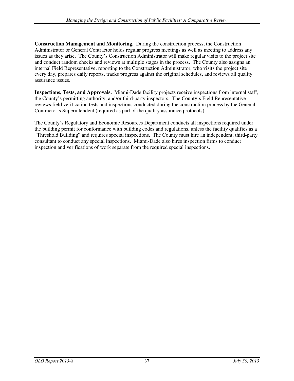**Construction Management and Monitoring.** During the construction process, the Construction Administrator or General Contractor holds regular progress meetings as well as meeting to address any issues as they arise. The County's Construction Administrator will make regular visits to the project site and conduct random checks and reviews at multiple stages in the process. The County also assigns an internal Field Representative, reporting to the Construction Administrator, who visits the project site every day, prepares daily reports, tracks progress against the original schedules, and reviews all quality assurance issues.

**Inspections, Tests, and Approvals.** Miami-Dade facility projects receive inspections from internal staff, the County's permitting authority, and/or third-party inspectors. The County's Field Representative reviews field verification tests and inspections conducted during the construction process by the General Contractor's Superintendent (required as part of the quality assurance protocols).

The County's Regulatory and Economic Resources Department conducts all inspections required under the building permit for conformance with building codes and regulations, unless the facility qualifies as a "Threshold Building" and requires special inspections. The County must hire an independent, third-party consultant to conduct any special inspections. Miami-Dade also hires inspection firms to conduct inspection and verifications of work separate from the required special inspections.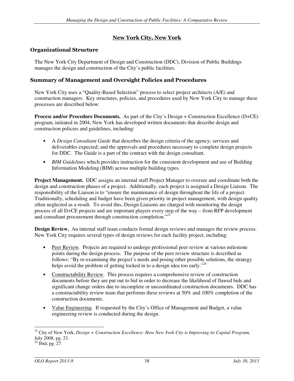# New York City, New York

### Organizational Structure

The New York City Department of Design and Construction (DDC), Division of Public Buildings manages the design and construction of the City's public facilities.

### Summary of Management and Oversight Policies and Procedures

New York City uses a "Quality-Based Selection" process to select project architects (A/E) and construction managers. Key structures, policies, and procedures used by New York City to manage these processes are described below.

**Process and/or Procedure Documents.** As part of the City's Design + Construction Excellence (D+CE) program, initiated in 2004, New York has developed written documents that describe design and construction policies and guidelines, including:

- A *Design Consultant Guide* that describes the design criteria of the agency; services and deliverables expected; and the approvals and procedures necessary to complete design projects for DDC. The Guide is a part of the contract with the design consultant.
- *BIM Guidelines* which provides instruction for the consistent development and use of Building Information Modeling (BIM) across multiple building types.

**Project Management.** DDC assigns an internal staff Project Manager to oversee and coordinate both the design and construction phases of a project. Additionally, each project is assigned a Design Liaison. The responsibility of the Liaison is to "ensure the maintenance of design throughout the life of a project. Traditionally, scheduling and budget have been given priority in project management, with design quality often neglected as a result. To avoid this, Design Liaisons are charged with monitoring the design process of all D+CE projects and are important players every step of the way – from RFP development and consultant procurement through construction completion."<sup>23</sup>

**Design Review.** An internal staff team conducts formal design reviews and manages the review process. New York City requires several types of design reviews for each facility project, including:

- Peer Review. Projects are required to undergo professional peer review at various milestone points during the design process. The purpose of the peer review structure is described as follows: "By re-examining the project's needs and posing other possible solutions, the strategy helps avoid the problem of getting locked in to a design idea too early."<sup>24</sup>
- Constructability Review. This process requires a comprehensive review of construction documents before they are put out to bid in order to decrease the likelihood of flawed bids and significant change orders due to incomplete or uncoordinated construction documents. DDC has a constructability review team that performs these reviews at 50% and 100% completion of the construction documents.
- Value Engineering. If requested by the City's Office of Management and Budget, a value engineering review is conducted during the design.

 $\overline{a}$ <sup>23</sup> City of New York, *Design + Construction Excellence: How New York City is Improving its Capital Program*, July 2008, pg. 23.

 $^{24}$  Ibid, pg. 27.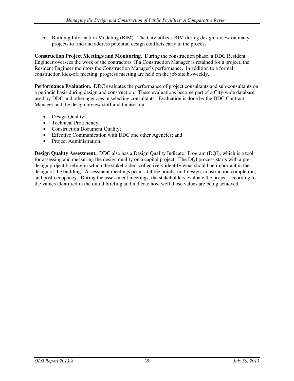• Building Information Modeling (BIM). The City utilizes BIM during design review on many projects to find and address potential design conflicts early in the process.

**Construction Project Meetings and Monitoring**. During the construction phase, a DDC Resident Engineer oversees the work of the contractors. If a Construction Manager is retained for a project, the Resident Engineer monitors the Construction Manager's performance. In addition to a formal construction kick-off meeting, progress meeting are held on the job site bi-weekly.

**Performance Evaluation.** DDC evaluates the performance of project consultants and sub-consultants on a periodic basis during design and construction. These evaluations become part of a City-wide database used by DDC and other agencies in selecting consultants. Evaluation is done by the DDC Contract Manager and the design review staff and focuses on:

- Design Quality;
- Technical Proficiency;
- Construction Document Quality;
- Effective Communication with DDC and other Agencies; and
- Project Administration.

**Design Quality Assessment.** DDC also has a Design Quality Indicator Program (DQI), which is a tool for assessing and measuring the design quality on a capital project. The DQI process starts with a predesign project briefing in which the stakeholders collectively identify what should be important in the design of the building. Assessment meetings occur at three points: mid-design, construction completion, and post-occupancy. During the assessment meetings, the stakeholders evaluate the project according to the values identified in the initial briefing and indicate how well those values are being achieved.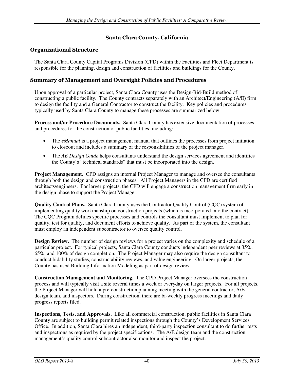# Santa Clara County, California

### Organizational Structure

The Santa Clara County Capital Programs Division (CPD) within the Facilities and Fleet Department is responsible for the planning, design and construction of facilities and buildings for the County.

### Summary of Management and Oversight Policies and Procedures

Upon approval of a particular project, Santa Clara County uses the Design-Bid-Build method of constructing a public facility. The County contracts separately with an Architect/Engineering (A/E) firm to design the facility and a General Contractor to construct the facility. Key policies and procedures typically used by Santa Clara County to manage these processes are summarized below.

**Process and/or Procedure Documents.** Santa Clara County has extensive documentation of processes and procedures for the construction of public facilities, including:

- The *eManual* is a project management manual that outlines the processes from project initiation to closeout and includes a summary of the responsibilities of the project manager.
- The *AE Design Guide* helps consultants understand the design services agreement and identifies the County's "technical standards" that must be incorporated into the design.

**Project Management.** CPD assigns an internal Project Manager to manage and oversee the consultants through both the design and construction phases. All Project Managers in the CPD are certified architects/engineers. For larger projects, the CPD will engage a construction management firm early in the design phase to support the Project Manager.

**Quality Control Plans.** Santa Clara County uses the Contractor Quality Control (CQC) system of implementing quality workmanship on construction projects (which is incorporated into the contract). The CQC Program defines specific processes and controls the consultant must implement to plan for quality, test for quality, and document efforts to achieve quality. As part of the system, the consultant must employ an independent subcontractor to oversee quality control.

**Design Review.** The number of design reviews for a project varies on the complexity and schedule of a particular project. For typical projects, Santa Clara County conducts independent peer reviews at 35%, 65%, and 100% of design completion. The Project Manager may also require the design consultant to conduct bidability studies, constructability reviews, and value engineering. On larger projects, the County has used Building Information Modeling as part of design review.

**Construction Management and Monitoring.** The CPD Project Manager oversees the construction process and will typically visit a site several times a week or everyday on larger projects. For all projects, the Project Manager will hold a pre-construction planning meeting with the general contractor, A/E design team, and inspectors. During construction, there are bi-weekly progress meetings and daily progress reports filed.

**Inspections, Tests, and Approvals.** Like all commercial construction, public facilities in Santa Clara County are subject to building permit related inspections through the County's Development Services Office. In addition, Santa Clara hires an independent, third-party inspection consultant to do further tests and inspections as required by the project specifications. The A/E design team and the construction management's quality control subcontractor also monitor and inspect the project.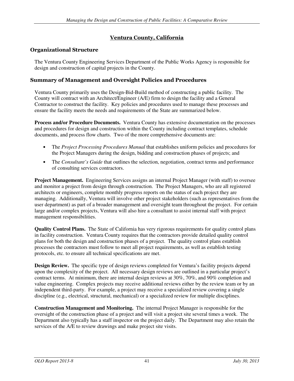# Ventura County, California

### Organizational Structure

The Ventura County Engineering Services Department of the Public Works Agency is responsible for design and construction of capital projects in the County.

### Summary of Management and Oversight Policies and Procedures

Ventura County primarily uses the Design-Bid-Build method of constructing a public facility. The County will contract with an Architect/Engineer (A/E) firm to design the facility and a General Contractor to construct the facility. Key policies and procedures used to manage these processes and ensure the facility meets the needs and requirements of the State are summarized below.

**Process and/or Procedure Documents.** Ventura County has extensive documentation on the processes and procedures for design and construction within the County including contract templates, schedule documents, and process flow charts. Two of the more comprehensive documents are:

- The *Project Processing Procedures Manual* that establishes uniform policies and procedures for the Project Managers during the design, bidding and construction phases of projects; and
- The *Consultant's Guide* that outlines the selection, negotiation, contract terms and performance of consulting services contractors.

**Project Management.** Engineering Services assigns an internal Project Manager (with staff) to oversee and monitor a project from design through construction. The Project Managers, who are all registered architects or engineers, complete monthly progress reports on the status of each project they are managing. Additionally, Ventura will involve other project stakeholders (such as representatives from the user department) as part of a broader management and oversight team throughout the project. For certain large and/or complex projects, Ventura will also hire a consultant to assist internal staff with project management responsibilities.

**Quality Control Plans.** The State of California has very rigorous requirements for quality control plans in facility construction. Ventura County requires that the contractors provide detailed quality control plans for both the design and construction phases of a project. The quality control plans establish processes the contractors must follow to meet all project requirements, as well as establish testing protocols, etc. to ensure all technical specifications are met.

**Design Review.** The specific type of design reviews completed for Ventura's facility projects depend upon the complexity of the project. All necessary design reviews are outlined in a particular project's contract terms. At minimum, there are internal design reviews at 30%, 70%, and 90% completion and value engineering. Complex projects may receive additional reviews either by the review team or by an independent third-party. For example, a project may receive a specialized review covering a single discipline (e.g., electrical, structural, mechanical) or a specialized review for multiple disciplines.

**Construction Management and Monitoring.** The internal Project Manager is responsible for the oversight of the construction phase of a project and will visit a project site several times a week. The Department also typically has a staff inspector on the project daily. The Department may also retain the services of the A/E to review drawings and make project site visits.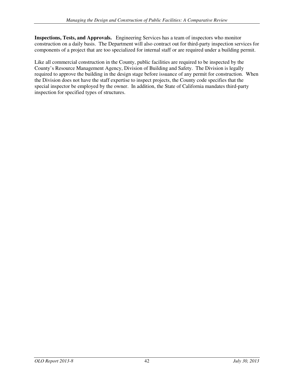**Inspections, Tests, and Approvals.** Engineering Services has a team of inspectors who monitor construction on a daily basis. The Department will also contract out for third-party inspection services for components of a project that are too specialized for internal staff or are required under a building permit.

Like all commercial construction in the County, public facilities are required to be inspected by the County's Resource Management Agency, Division of Building and Safety. The Division is legally required to approve the building in the design stage before issuance of any permit for construction. When the Division does not have the staff expertise to inspect projects, the County code specifies that the special inspector be employed by the owner. In addition, the State of California mandates third-party inspection for specified types of structures.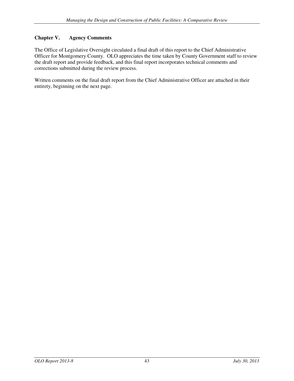### **Chapter V. Agency Comments**

The Office of Legislative Oversight circulated a final draft of this report to the Chief Administrative Officer for Montgomery County. OLO appreciates the time taken by County Government staff to review the draft report and provide feedback, and this final report incorporates technical comments and corrections submitted during the review process.

Written comments on the final draft report from the Chief Administrative Officer are attached in their entirety, beginning on the next page.